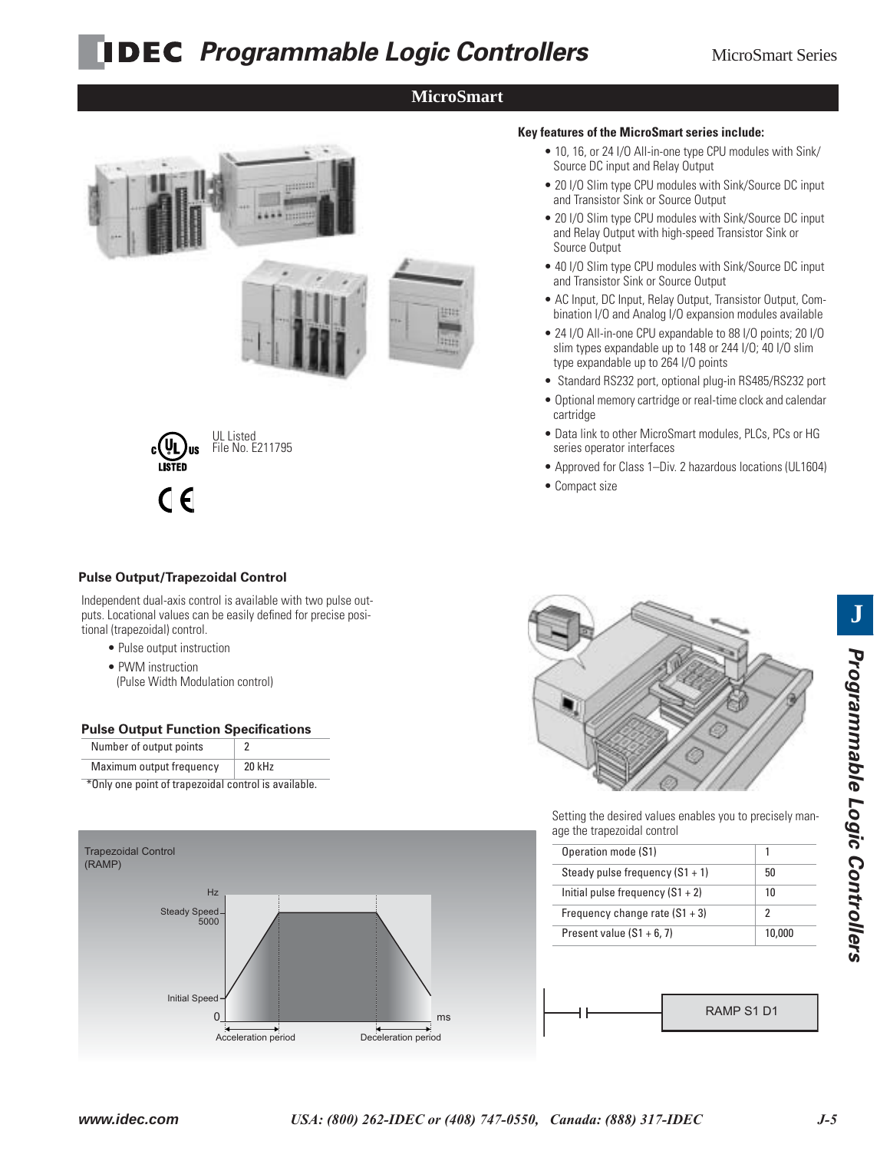# **PDEC** Programmable Logic Controllers MicroSmart Series

## **MicroSmart**



File No. E211795

• 20 I/O Slim type CPU modules with Sink/Source DC input and Relay Output with high-speed Transistor Sink or Source Output

• 10, 16, or 24 I/O All-in-one type CPU modules with Sink/

• 20 I/O Slim type CPU modules with Sink/Source DC input

**Key features of the MicroSmart series include:**

Source DC input and Relay Output

and Transistor Sink or Source Output

- 40 I/O Slim type CPU modules with Sink/Source DC input and Transistor Sink or Source Output
- AC Input, DC Input, Relay Output, Transistor Output, Combination I/O and Analog I/O expansion modules available
- 24 I/O All-in-one CPU expandable to 88 I/O points; 20 I/O slim types expandable up to 148 or 244 I/O; 40 I/O slim type expandable up to 264 I/O points
- Standard RS232 port, optional plug-in RS485/RS232 port
- Optional memory cartridge or real-time clock and calendar cartridge
- Data link to other MicroSmart modules, PLCs, PCs or HG series operator interfaces
- Approved for Class 1–Div. 2 hazardous locations (UL1604)
- Compact size

#### **Pulse Output/Trapezoidal Control**

 $\epsilon$ 

Independent dual-axis control is available with two pulse outputs. Locational values can be easily defined for precise positional (trapezoidal) control.

- Pulse output instruction
- PWM instruction
- (Pulse Width Modulation control)

#### **Pulse Output Function Specifications**

| Number of output points  |        |
|--------------------------|--------|
| Maximum output frequency | 20 kHz |

\*Only one point of trapezoidal control is available.





Setting the desired values enables you to precisely manage the trapezoidal control

| 50     |
|--------|
| 10     |
| 2      |
| 10,000 |
|        |

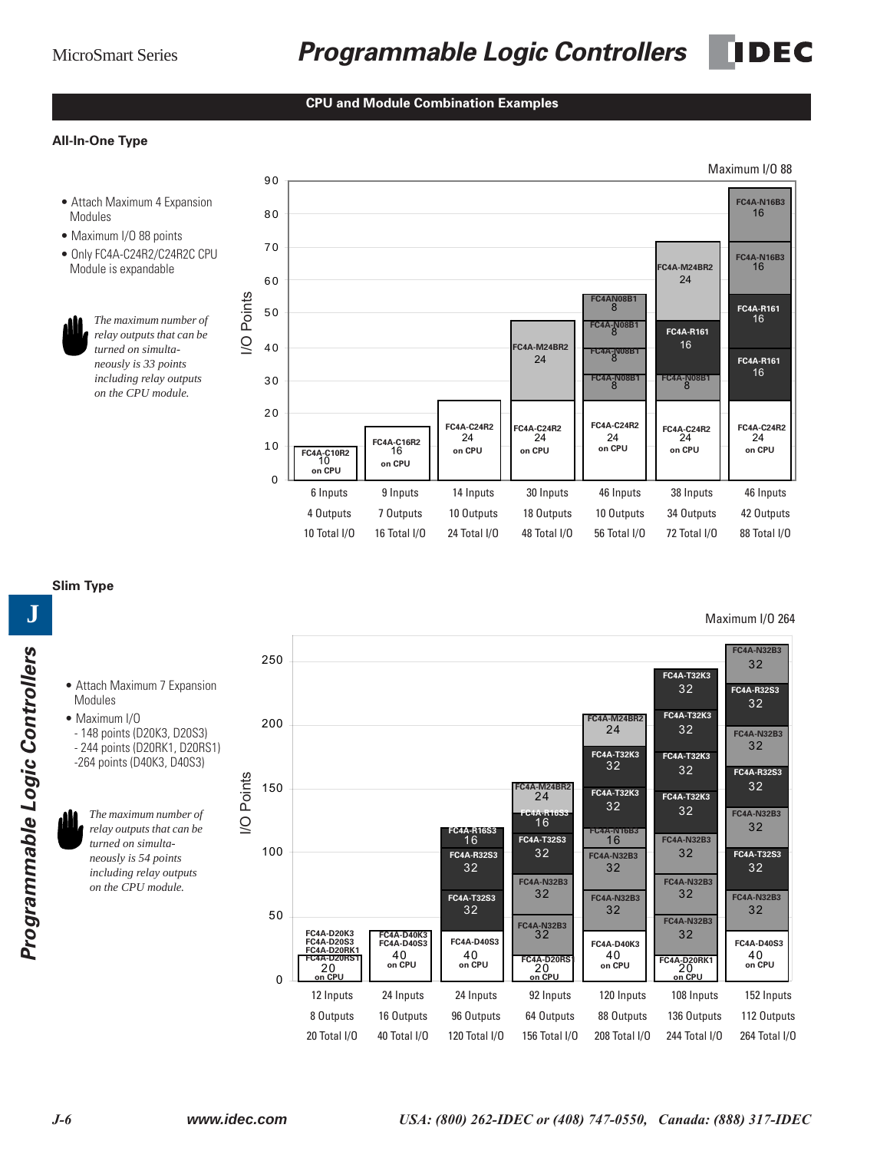#### **CPU and Module Combination Examples**

#### **All-In-One Type**

- Modules
- Maximum I/O 88 points
- Only FC4A-C24R2/C24R2C CPU Module is expandable



*The maximum number of relay outputs that can be turned on simultaneously is 33 points including relay outputs on the CPU module.*

I/O Points

I/O Points



#### **Slim Type**

Modules • Maximum I/O

• Attach Maximum 7 Expansion

- 148 points (D20K3, D20S3) - 244 points (D20RK1, D20RS1) -264 points (D40K3, D40S3)

*The maximum number of relay outputs that can be turned on simultaneously is 54 points including relay outputs on the CPU module.*

Programmable Logic Controllers *Programmable Logic Controllers*

**J**

**FC4A-N32B3** 250 32 **FC4A-T32K3** 32 **FC4A-R32S3** 32 **FC4A-T32K3 FC4A-M24BR2** 200 24 32 **FC4A-N32B3** 32 **FC4A-T32K3 FC4A-T32K3** 32 32 **FC4A-R32S3** I/O Points I/O Points32 150 **FC4A-M24BR2 FC4A-T32K3** 24 **FC4A-T32K3** 32 32 **FC4A-N32B3** 16 **FC4A-R16S3** 32 16 **FC4A-R16S3** 16 **FC4A-N16B3 FC4A-T32S3 FC4A-N32B3** 100 32 32 **FC4A-R32S3 FC4A-N32B3 FC4A-T32S3** 32 32 **1 32 1 32 32 FC4A-N32B3 FC4A-N32B3** 32 32 **FC4A-N32B3 FC4A-T32S3 FC4A-N32B3** 32 32 32 50 **FC4A-N32B3** 32 **FC4A-N32B3 FC4A-D20K3** 32 **FC4A-D40K3 FC4A-D40S3 FC4A-D40S3 FC4A-D40K3 FC4A-D40S3 FC4A-D20S3 FC4A-D20RK1** 40 40 40 **on CPU on CPU** 40 **on CPU C4A-D20RS FC4A-D20RS1** 20 **FC4A-D20RK1 on CPU** 20 **on CPU** 20 **on CPU** 0 **on CPU** 12 Inputs 24 Inputs 24 Inputs 92 Inputs 120 Inputs 108 Inputs 152 Inputs 8 Outputs 16 Outputs 96 Outputs 64 Outputs 88 Outputs 136 Outputs 112 Outputs 20 Total I/O 40 Total I/O 120 Total I/O 156 Total I/O 208 Total I/O 244 Total I/O 264 Total I/O

#### Maximum I/O 264

Maximum I/O 88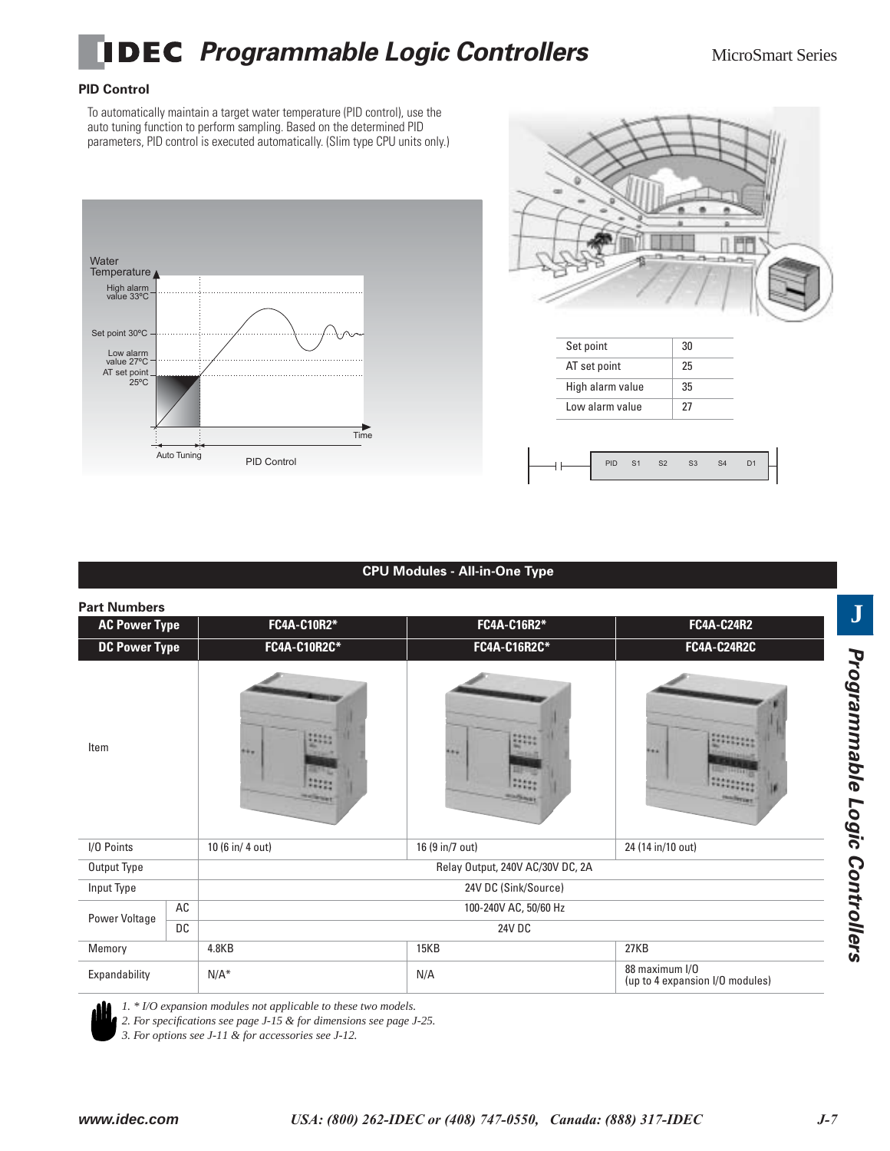

### **PID Control**

To automatically maintain a target water temperature (PID control), use the auto tuning function to perform sampling. Based on the determined PID parameters, PID control is executed automatically. (Slim type CPU units only.)





| Set point        | 30 |
|------------------|----|
| AT set point     | 25 |
| High alarm value | 35 |
| Low alarm value  | 27 |

|  | u |  |  |
|--|---|--|--|
|  |   |  |  |

### **CPU Modules - All-in-One Type**

| <b>Part Numbers</b>  |           |                       |                                  |                                                   |  |  |
|----------------------|-----------|-----------------------|----------------------------------|---------------------------------------------------|--|--|
| <b>AC Power Type</b> |           | FC4A-C10R2*           | FC4A-C16R2*                      | <b>FC4A-C24R2</b>                                 |  |  |
| <b>DC Power Type</b> |           | <b>FC4A-C10R2C*</b>   | FC4A-C16R2C*                     | FC4A-C24R2C                                       |  |  |
| Item                 |           | <b>***</b>            | 5.64                             | 992                                               |  |  |
| I/O Points           |           | 10 (6 in/ 4 out)      | 16 (9 in/7 out)                  | 24 (14 in/10 out)                                 |  |  |
| Output Type          |           |                       | Relay Output, 240V AC/30V DC, 2A |                                                   |  |  |
| Input Type           |           |                       | 24V DC (Sink/Source)             |                                                   |  |  |
|                      | AC        | 100-240V AC, 50/60 Hz |                                  |                                                   |  |  |
| Power Voltage        | <b>DC</b> | 24V DC                |                                  |                                                   |  |  |
| Memory               |           | 4.8KB                 | 15KB                             | 27KB                                              |  |  |
| Expandability        |           | $N/A^*$               | N/A                              | 88 maximum I/O<br>(up to 4 expansion I/O modules) |  |  |



*1. \* I/O expansion modules not applicable to these two models.*

*2. For specifications see page J-15 & for dimensions see page J-25.*

*3. For options see J-11 & for accessories see J-12.*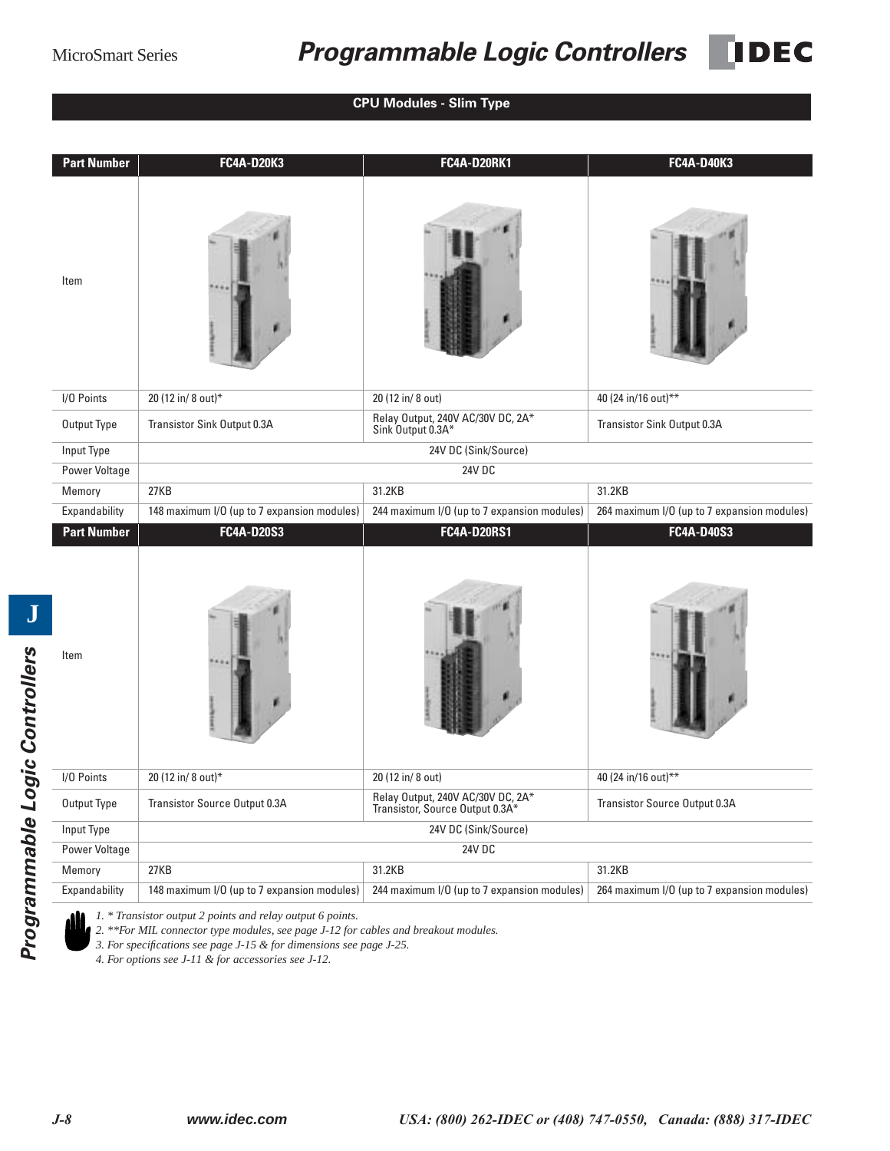## MicroSmart Series *Programmable Logic Controllers*

**IDEC** 

**CPU Modules - Slim Type**

| <b>Part Number</b>      | <b>FC4A-D20K3</b>                                   | <b>FC4A-D20RK1</b>                                                   | <b>FC4A-D40K3</b>                                     |
|-------------------------|-----------------------------------------------------|----------------------------------------------------------------------|-------------------------------------------------------|
| Item                    |                                                     |                                                                      |                                                       |
| I/O Points              | 20 (12 in/ 8 out)*                                  | 20 (12 in/ 8 out)                                                    | 40 (24 in/16 out)**                                   |
| Output Type             | Transistor Sink Output 0.3A                         | Relay Output, 240V AC/30V DC, 2A*<br>Sink Output 0.3A*               | Transistor Sink Output 0.3A                           |
| Input Type              |                                                     | 24V DC (Sink/Source)                                                 |                                                       |
| Power Voltage           |                                                     | <b>24V DC</b>                                                        |                                                       |
| Memory                  | 27KB                                                | 31.2KB                                                               | 31.2KB                                                |
| Expandability           | 148 maximum I/O (up to 7 expansion modules)         | 244 maximum I/O (up to 7 expansion modules)                          | 264 maximum I/O (up to 7 expansion modules)           |
| <b>Part Number</b>      | <b>FC4A-D20S3</b>                                   | <b>FC4A-D20RS1</b>                                                   | FC4A-D40S3                                            |
|                         |                                                     |                                                                      |                                                       |
| Item                    |                                                     |                                                                      |                                                       |
| I/O Points              | 20 (12 in/ 8 out)*                                  | 20 (12 in/ 8 out)                                                    | 40 (24 in/16 out)**                                   |
| Output Type             | Transistor Source Output 0.3A                       | Relay Output, 240V AC/30V DC, 2A*<br>Transistor, Source Output 0.3A* | Transistor Source Output 0.3A                         |
| Input Type              |                                                     | 24V DC (Sink/Source)                                                 |                                                       |
| Power Voltage           |                                                     | <b>24V DC</b>                                                        |                                                       |
| Memory<br>Expandability | 27KB<br>148 maximum I/O (up to 7 expansion modules) | 31.2KB<br>244 maximum I/O (up to 7 expansion modules)                | 31.2KB<br>264 maximum I/O (up to 7 expansion modules) |

*1. \* Transistor output 2 points and relay output 6 points.*

*2. \*\*For MIL connector type modules, see page J-12 for cables and breakout modules.*

*3. For specifications see page J-15 & for dimensions see page J-25.*

*4. For options see J-11 & for accessories see J-12.*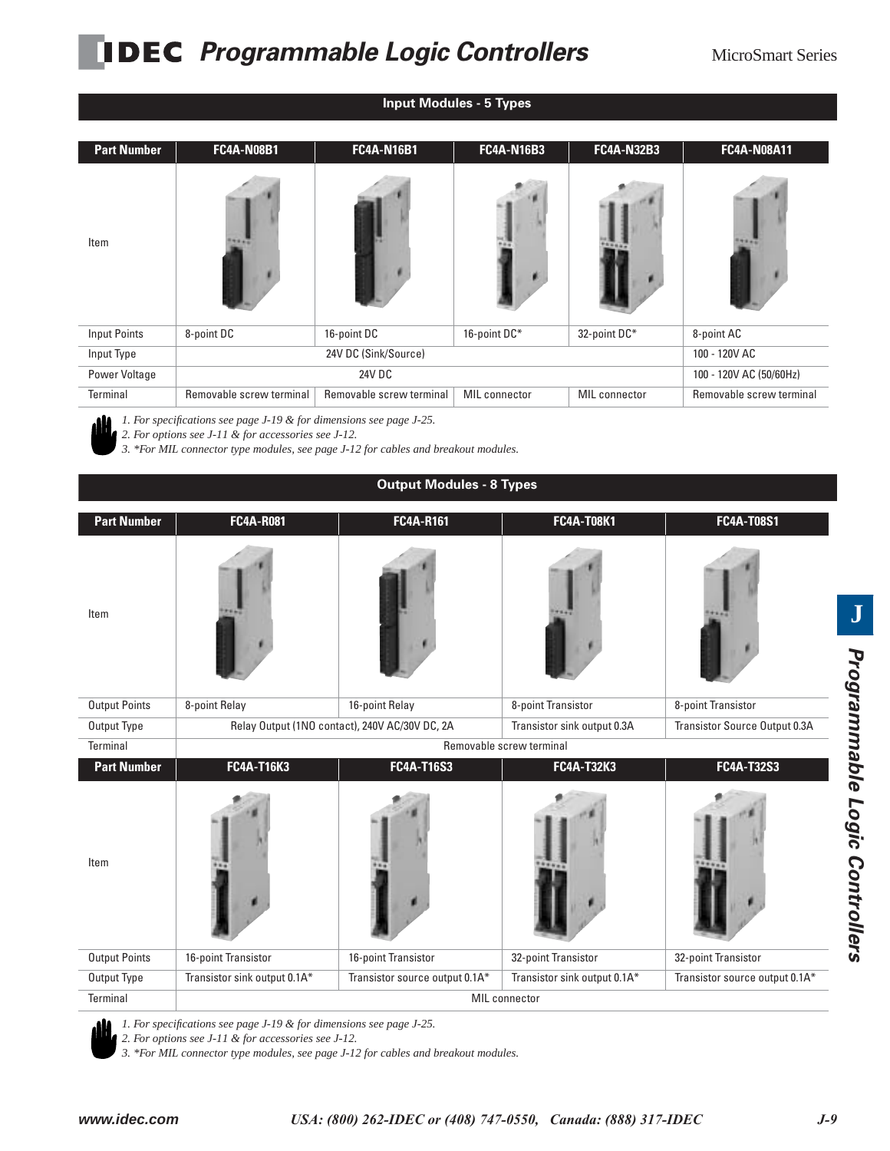# **PIDEC** Programmable Logic Controllers MicroSmart Series

| <b>Input Modules - 5 Types</b> |                          |                          |                      |                      |                          |  |  |  |
|--------------------------------|--------------------------|--------------------------|----------------------|----------------------|--------------------------|--|--|--|
| <b>Part Number</b>             | <b>FC4A-N08B1</b>        | <b>FC4A-N16B1</b>        | <b>FC4A-N16B3</b>    | <b>FC4A-N32B3</b>    | <b>FC4A-N08A11</b>       |  |  |  |
| Item                           |                          |                          |                      |                      |                          |  |  |  |
| <b>Input Points</b>            | 8-point DC               | 16-point DC              | 16-point DC*         | 32-point DC*         | 8-point AC               |  |  |  |
| Input Type                     |                          | 24V DC (Sink/Source)     |                      |                      | 100 - 120V AC            |  |  |  |
| Power Voltage                  |                          | 24V DC                   |                      |                      | 100 - 120V AC (50/60Hz)  |  |  |  |
| Terminal                       | Removable screw terminal | Removable screw terminal | <b>MIL</b> connector | <b>MIL</b> connector | Removable screw terminal |  |  |  |
|                                |                          |                          |                      |                      |                          |  |  |  |

*1. For specifications see page J-19 & for dimensions see page J-25.*

*2. For specifications see page 3-17*  $\alpha$  *joint annuality*<br>2. For options see J-11 & for accessories see J-12.

*3. \*For MIL connector type modules, see page J-12 for cables and breakout modules.*

| <b>Output Modules - 8 Types</b> |                                                                                                                |                                |                              |                                |  |  |  |  |
|---------------------------------|----------------------------------------------------------------------------------------------------------------|--------------------------------|------------------------------|--------------------------------|--|--|--|--|
| <b>Part Number</b>              | <b>FC4A-R081</b>                                                                                               | FC4A-R161                      | FC4A-T08K1                   | FC4A-T08S1                     |  |  |  |  |
| Item                            |                                                                                                                |                                |                              |                                |  |  |  |  |
| <b>Output Points</b>            | 8-point Relay                                                                                                  | 16-point Relay                 |                              | 8-point Transistor             |  |  |  |  |
| Output Type                     | Relay Output (1NO contact), 240V AC/30V DC, 2A<br>Transistor sink output 0.3A<br>Transistor Source Output 0.3A |                                |                              |                                |  |  |  |  |
| Terminal                        |                                                                                                                |                                | Removable screw terminal     |                                |  |  |  |  |
| <b>Part Number</b>              | <b>FC4A-T16K3</b>                                                                                              | <b>FC4A-T16S3</b>              | <b>FC4A-T32K3</b>            | FC4A-T32S3                     |  |  |  |  |
| Item                            |                                                                                                                |                                |                              |                                |  |  |  |  |
| <b>Output Points</b>            | 16-point Transistor                                                                                            | 16-point Transistor            | 32-point Transistor          | 32-point Transistor            |  |  |  |  |
| Output Type                     | Transistor sink output 0.1A*                                                                                   | Transistor source output 0.1A* | Transistor sink output 0.1A* | Transistor source output 0.1A* |  |  |  |  |
| Terminal                        | <b>MIL</b> connector                                                                                           |                                |                              |                                |  |  |  |  |

*1. For specifications see page J-19 & for dimensions see page J-25. 2. For specifications see page*  $\sim$  $\sim$  $\sim$  $\sim$  $\sim$  *2. For options see J-11 & for accessories see J-12.* 

*3. \*For MIL connector type modules, see page J-12 for cables and breakout modules.*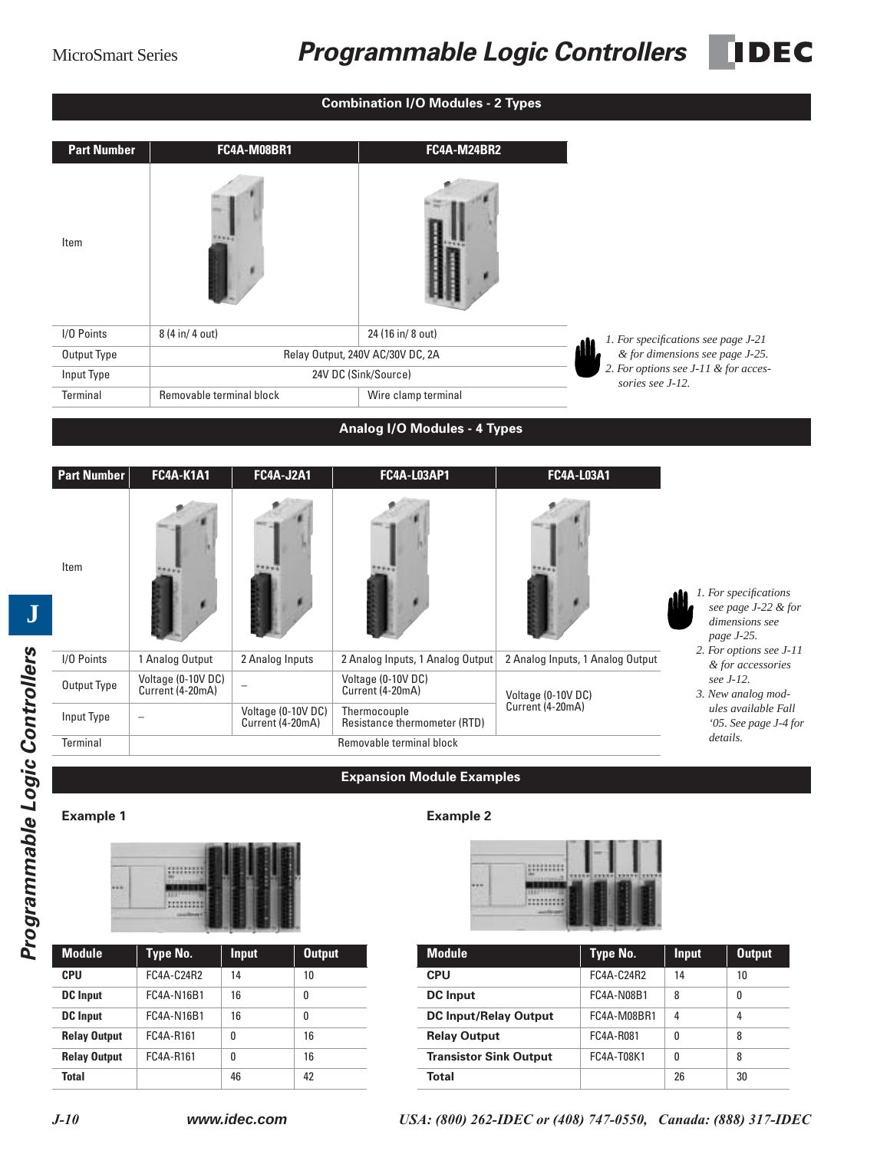## MicroSmart Series **Programmable Logic Controllers** DEC

| <b>Combination I/O Modules - 2 Types</b> |                                        |                                        |                                              |                                  |                                                                              |  |  |
|------------------------------------------|----------------------------------------|----------------------------------------|----------------------------------------------|----------------------------------|------------------------------------------------------------------------------|--|--|
| <b>Part Number</b>                       |                                        | <b>FC4A-M08BR1</b>                     | <b>FC4A-M24BR2</b>                           |                                  |                                                                              |  |  |
| Item                                     |                                        |                                        |                                              |                                  |                                                                              |  |  |
| I/O Points                               | 8 (4 in/ 4 out)                        |                                        | 24 (16 in/ 8 out)                            |                                  | 1. For specifications see page J-21                                          |  |  |
| Output Type                              |                                        |                                        | Relay Output, 240V AC/30V DC, 2A             |                                  | & for dimensions see page J-25.<br>2. For options see J-11 & for acces-      |  |  |
| Input Type                               | Removable terminal block               |                                        | 24V DC (Sink/Source)                         | sories see J-12.                 |                                                                              |  |  |
| Terminal                                 |                                        |                                        | Wire clamp terminal                          |                                  |                                                                              |  |  |
|                                          |                                        |                                        | <b>Analog I/O Modules - 4 Types</b>          |                                  |                                                                              |  |  |
| <b>Part Number</b>                       | <b>FC4A-K1A1</b>                       | <b>FC4A-J2A1</b>                       | <b>FC4A-L03AP1</b>                           | FC4A-L03A1                       |                                                                              |  |  |
| Item                                     |                                        |                                        |                                              |                                  | 1. For specifications<br>see page J-22 & for<br>dimensions see<br>page J-25. |  |  |
| I/O Points                               | 1 Analog Output                        | 2 Analog Inputs                        | 2 Analog Inputs, 1 Analog Output             | 2 Analog Inputs, 1 Analog Output | 2. For options see J-11<br>& for accessories                                 |  |  |
| Output Type                              | Voltage (0-10V DC)<br>Current (4-20mA) | $\overline{\phantom{a}}$               | Voltage (0-10V DC)<br>Current (4-20mA)       | Voltage (0-10V DC)               | see J-12.<br>3. New analog mod-                                              |  |  |
| Input Type                               | $\overline{\phantom{0}}$               | Voltage (0-10V DC)<br>Current (4-20mA) | Thermocouple<br>Resistance thermometer (RTD) | Current (4-20mA)                 | ules available Fall<br>'05. See page J-4 for                                 |  |  |
| Terminal                                 |                                        |                                        | Removable terminal block                     |                                  | details.                                                                     |  |  |
|                                          |                                        |                                        | <b>Expansion Module Examples</b>             |                                  |                                                                              |  |  |
| <b>Example 1</b>                         |                                        |                                        | <b>Example 2</b>                             |                                  |                                                                              |  |  |
|                                          |                                        | 自自自自                                   |                                              | $\blacksquare$                   |                                                                              |  |  |



| <b>Module</b>       | <b>Type No.</b> | <b>Input</b> | <b>Output</b> |
|---------------------|-----------------|--------------|---------------|
| <b>CPU</b>          | FC4A-C24R2      | 14           | 10            |
| <b>DC</b> Input     | FC4A-N16B1      | 16           | 0             |
| <b>DC</b> Input     | FC4A-N16B1      | 16           | 0             |
| <b>Relay Output</b> | FC4A-R161       | 0            | 16            |
| <b>Relay Output</b> | FC4A-R161       | 0            | 16            |
| <b>Total</b>        |                 | 46           | 42            |



| Module              | Type No.   | <b>Input</b> | <b>Output</b> | <b>Module</b>                 | Type No.    | <b>Input</b> | <b>Output</b> |
|---------------------|------------|--------------|---------------|-------------------------------|-------------|--------------|---------------|
| CPU                 | FC4A-C24R2 | 14           | 10            | <b>CPU</b>                    | FC4A-C24R2  | 14           | 10            |
| <b>DC</b> Input     | FC4A-N16B1 | 16           | 0             | <b>DC</b> Input               | FC4A-N08B1  | 8            | $\mathbf{0}$  |
| <b>DC</b> Input     | FC4A-N16B1 | 16           | 0             | <b>DC Input/Relay Output</b>  | FC4A-M08BR1 | 4            | 4             |
| <b>Relay Output</b> | FC4A-R161  | $\mathbf{0}$ | 16            | <b>Relay Output</b>           | FC4A-R081   | 0            | 8             |
| <b>Relay Output</b> | FC4A-R161  | 0            | 16            | <b>Transistor Sink Output</b> | FC4A-T08K1  | $\mathbf{0}$ | 8             |
| <b>Total</b>        |            | 46           | 42            | <b>Total</b>                  |             | 26           | 30            |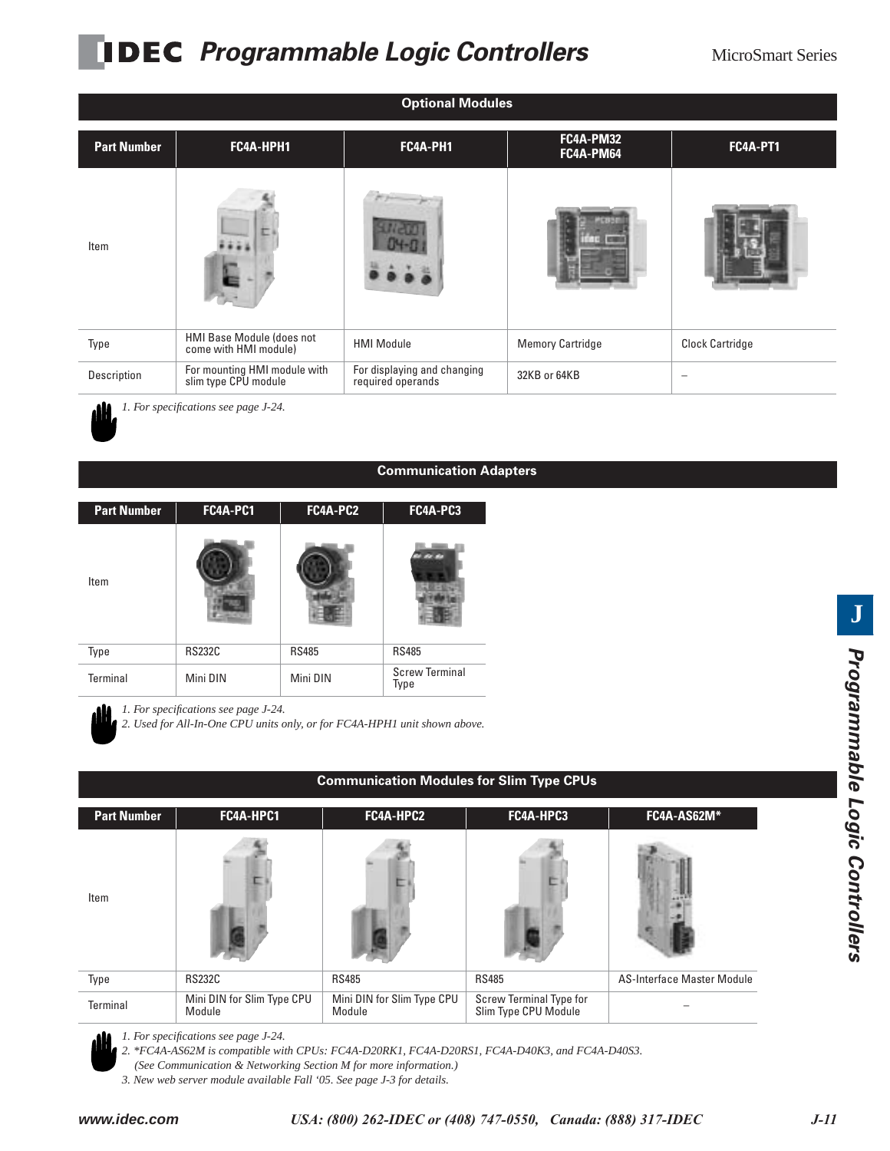# **PIDEC** Programmable Logic Controllers MicroSmart Series

| <b>Optional Modules</b> |                                                      |                                                  |                         |                        |  |  |  |  |
|-------------------------|------------------------------------------------------|--------------------------------------------------|-------------------------|------------------------|--|--|--|--|
| <b>Part Number</b>      | FC4A-HPH1                                            | FC4A-PH1                                         | FC4A-PM32<br>FC4A-PM64  | <b>FC4A-PT1</b>        |  |  |  |  |
| Item                    |                                                      |                                                  |                         |                        |  |  |  |  |
| Type                    | HMI Base Module (does not<br>come with HMI module)   | <b>HMI Module</b>                                | <b>Memory Cartridge</b> | <b>Clock Cartridge</b> |  |  |  |  |
| Description             | For mounting HMI module with<br>slim type CPU module | For displaying and changing<br>required operands | 32KB or 64KB            |                        |  |  |  |  |
|                         | 1. For specifications see page J-24.                 |                                                  |                         |                        |  |  |  |  |

#### **Communication Adapters**

| <b>Part Number</b> | FC4A-PC1      | FC4A-PC2     | FC4A-PC3                      |
|--------------------|---------------|--------------|-------------------------------|
| Item               |               |              |                               |
| Type               | <b>RS232C</b> | <b>RS485</b> | <b>RS485</b>                  |
| <b>Terminal</b>    | Mini DIN      | Mini DIN     | <b>Screw Terminal</b><br>Type |

*1. For specifications see page J-24.*

*2. Used for All-In-One CPU units only, or for FC4A-HPH1 unit shown above.*

|                    | Communication Modules for Slim Type CPUs |                                      |                                                 |                            |  |  |  |  |
|--------------------|------------------------------------------|--------------------------------------|-------------------------------------------------|----------------------------|--|--|--|--|
| <b>Part Number</b> | FC4A-HPC1                                | FC4A-HPC2                            | FC4A-HPC3                                       | FC4A-AS62M*                |  |  |  |  |
| Item               |                                          |                                      |                                                 |                            |  |  |  |  |
| Type               | <b>RS232C</b>                            | <b>RS485</b>                         | <b>RS485</b>                                    | AS-Interface Master Module |  |  |  |  |
| Terminal           | Mini DIN for Slim Type CPU<br>Module     | Mini DIN for Slim Type CPU<br>Module | Screw Terminal Type for<br>Slim Type CPU Module |                            |  |  |  |  |

### **Communication Modules for Slim Type CPUs**



*2. \*FC4A-AS62M is compatible with CPUs: FC4A-D20RK1, FC4A-D20RS1, FC4A-D40K3, and FC4A-D40S3.* 

*3. New web server module available Fall '05. See page J-3 for details.*

*<sup>(</sup>See Communication & Networking Section M for more information.)*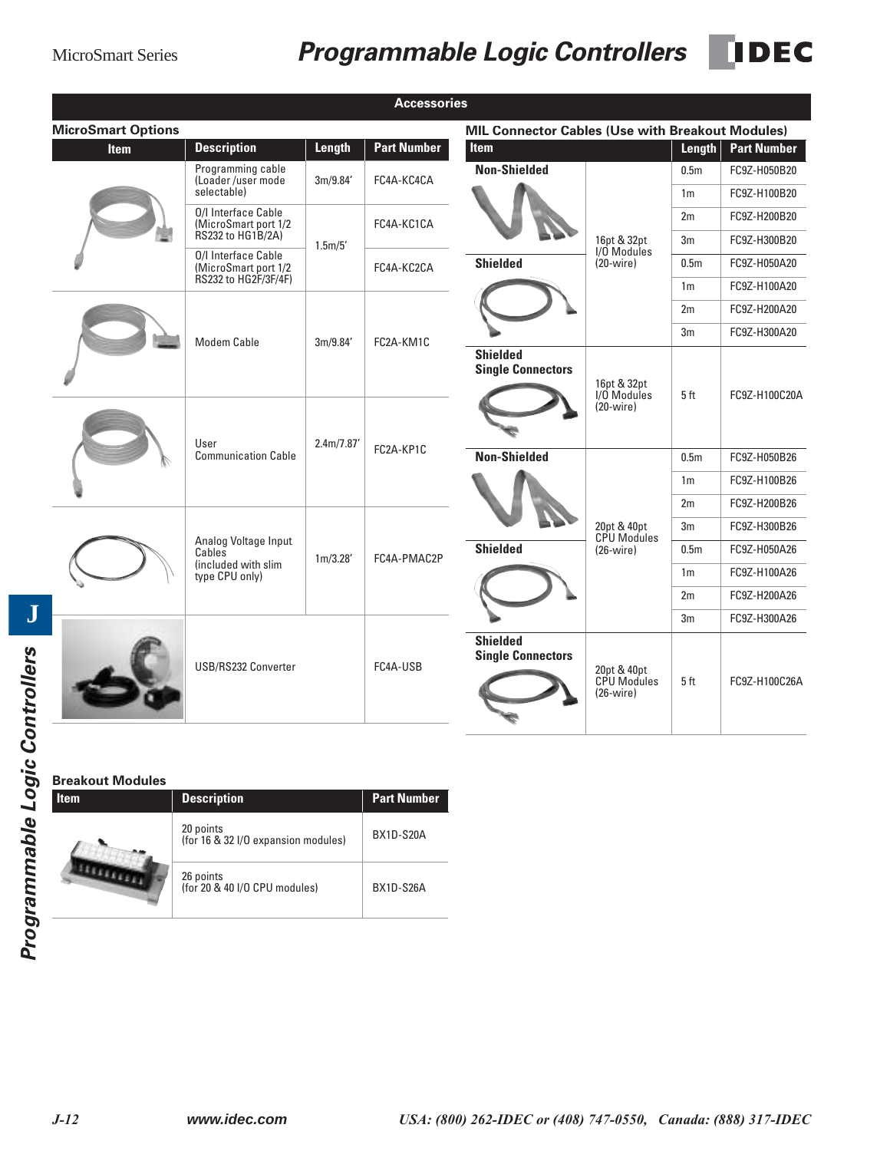## MicroSmart Series **Programmable Logic Controllers IDEC**

|                           |                                                       |            | <b>Accessories</b> |                                                  |                                                  |                                          |                                              |
|---------------------------|-------------------------------------------------------|------------|--------------------|--------------------------------------------------|--------------------------------------------------|------------------------------------------|----------------------------------------------|
| <b>MicroSmart Options</b> |                                                       |            |                    | MIL Connector Cables (Use with Breakout Modules) |                                                  |                                          |                                              |
| <b>Item</b>               | <b>Description</b>                                    | Length     | <b>Part Number</b> | <b>Item</b>                                      |                                                  | Length                                   | <b>Part Number</b>                           |
|                           | Programming cable<br>(Loader/user mode<br>selectable) | 3m/9.84'   | FC4A-KC4CA         | <b>Non-Shielded</b>                              |                                                  | 0.5 <sub>m</sub><br>1 <sub>m</sub>       | FC9Z-H050B20<br>FC9Z-H100B20                 |
|                           | 0/I Interface Cable                                   |            |                    |                                                  |                                                  |                                          |                                              |
|                           | (MicroSmart port 1/2<br>RS232 to HG1B/2A)             |            | FC4A-KC1CA         |                                                  | 16pt & 32pt                                      | 2m<br>3m                                 | FC9Z-H200B20<br>FC9Z-H300B20                 |
|                           | 0/I Interface Cable<br>(MicroSmart port 1/2           | 1.5m/5'    | FC4A-KC2CA         | <b>Shielded</b>                                  | I/O Modules<br>$(20-wire)$                       | 0.5 <sub>m</sub>                         | FC9Z-H050A20                                 |
|                           | RS232 to HG2F/3F/4F)                                  |            |                    |                                                  |                                                  | 1 <sub>m</sub>                           | FC9Z-H100A20                                 |
|                           |                                                       |            |                    |                                                  |                                                  | 2m                                       | FC9Z-H200A20                                 |
|                           | Modem Cable                                           | 3m/9.84'   | FC2A-KM1C          |                                                  |                                                  | 3 <sub>m</sub>                           | FC9Z-H300A20                                 |
|                           |                                                       |            |                    | <b>Shielded</b><br><b>Single Connectors</b>      | 16pt & 32pt<br>I/O Modules<br>$(20-wire)$        | 5 <sub>ft</sub>                          | FC9Z-H100C20A                                |
|                           | User<br><b>Communication Cable</b>                    | 2.4m/7.87' | FC2A-KP1C          | <b>Non-Shielded</b>                              |                                                  | 0.5 <sub>m</sub><br>1 <sub>m</sub><br>2m | FC9Z-H050B26<br>FC9Z-H100B26<br>FC9Z-H200B26 |
|                           |                                                       |            |                    |                                                  |                                                  |                                          |                                              |
|                           | Analog Voltage Input<br>Cables                        |            |                    | <b>Shielded</b>                                  | 20pt & 40pt<br><b>CPU Modules</b><br>$(26-wire)$ | 3m<br>0.5 <sub>m</sub>                   | FC9Z-H300B26<br>FC9Z-H050A26                 |
|                           | (included with slim<br>type CPU only)                 | 1m/3.28'   | FC4A-PMAC2P        |                                                  |                                                  | 1 <sub>m</sub>                           | FC9Z-H100A26                                 |
|                           |                                                       |            |                    |                                                  |                                                  | 2m                                       | FC9Z-H200A26                                 |
|                           |                                                       |            |                    |                                                  |                                                  | 3 <sub>m</sub>                           | FC9Z-H300A26                                 |
|                           | USB/RS232 Converter                                   |            | FC4A-USB           | <b>Shielded</b><br><b>Single Connectors</b>      | 20pt & 40pt<br><b>CPU Modules</b><br>$(26-wire)$ | 5ft                                      | FC9Z-H100C26A                                |

## **Breakout Modules**

| Item | <b>Description</b>                               | <b>Part Number</b> |
|------|--------------------------------------------------|--------------------|
|      | 20 points<br>(for 16 & 32 I/O expansion modules) | BX1D-S20A          |
|      | 26 points<br>(for 20 & 40 I/O CPU modules)       | BX1D-S26A          |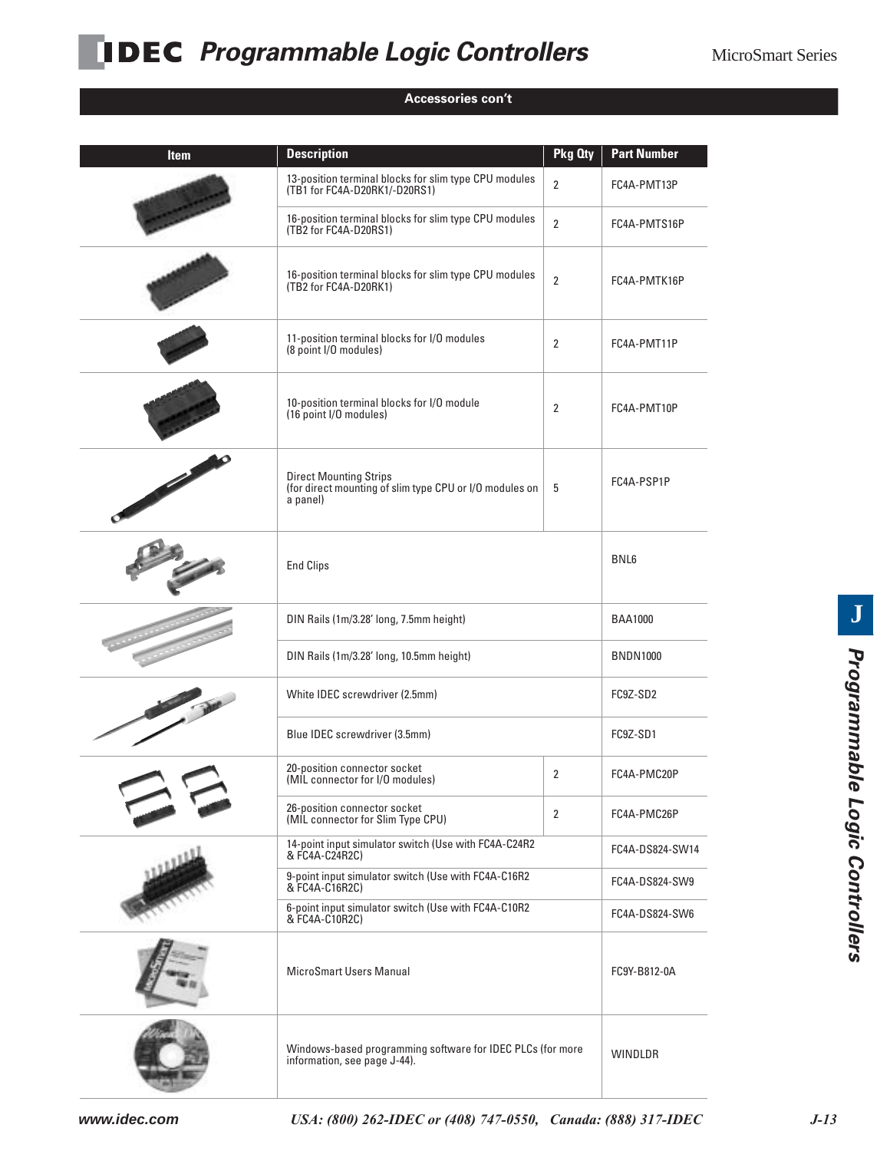## **PIDEC** Programmable Logic Controllers MicroSmart Series

### **Accessories con't**

| <b>Item</b> | <b>Description</b>                                                                                   | Pkg Oty        | <b>Part Number</b> |  |
|-------------|------------------------------------------------------------------------------------------------------|----------------|--------------------|--|
|             | 13-position terminal blocks for slim type CPU modules<br>(TB1 for FC4A-D20RK1/-D20RS1)               | $\overline{2}$ | FC4A-PMT13P        |  |
|             | 16-position terminal blocks for slim type CPU modules<br>(TB2 for FC4A-D20RS1)                       | $\overline{2}$ | FC4A-PMTS16P       |  |
|             | 16-position terminal blocks for slim type CPU modules<br>(TB2 for FC4A-D20RK1)                       | $\overline{2}$ | FC4A-PMTK16P       |  |
|             | 11-position terminal blocks for I/O modules<br>(8 point I/O modules)                                 | 2              | FC4A-PMT11P        |  |
|             | 10-position terminal blocks for I/O module<br>(16 point I/O modules)                                 | 2              | FC4A-PMT10P        |  |
|             | <b>Direct Mounting Strips</b><br>(for direct mounting of slim type CPU or I/O modules on<br>a panel) | 5              | FC4A-PSP1P         |  |
|             | <b>End Clips</b>                                                                                     |                | BNL6               |  |
|             | DIN Rails (1m/3.28' long, 7.5mm height)                                                              |                |                    |  |
|             | DIN Rails (1m/3.28' long, 10.5mm height)                                                             |                | <b>BNDN1000</b>    |  |
|             | White IDEC screwdriver (2.5mm)                                                                       |                | FC9Z-SD2           |  |
|             | Blue IDEC screwdriver (3.5mm)                                                                        |                | FC9Z-SD1           |  |
|             | 20-position connector socket<br>(MIL connector for I/O modules)                                      | $\overline{2}$ | FC4A-PMC20P        |  |
|             | 26-position connector socket<br>(MIL connector for Slim Type CPU)                                    | $\overline{2}$ | FC4A-PMC26P        |  |
|             | 14-point input simulator switch (Use with FC4A-C24R2<br>& FC4A-C24R2C)                               |                | FC4A-DS824-SW14    |  |
|             | 9-point input simulator switch (Use with FC4A-C16R2<br>& FC4A-C16R2C)                                |                | FC4A-DS824-SW9     |  |
|             | 6-point input simulator switch (Use with FC4A-C10R2<br>& FC4A-C10R2C)                                |                | FC4A-DS824-SW6     |  |
|             | <b>MicroSmart Users Manual</b>                                                                       |                | FC9Y-B812-0A       |  |
|             | Windows-based programming software for IDEC PLCs (for more<br>information, see page J-44).           |                | WINDLDR            |  |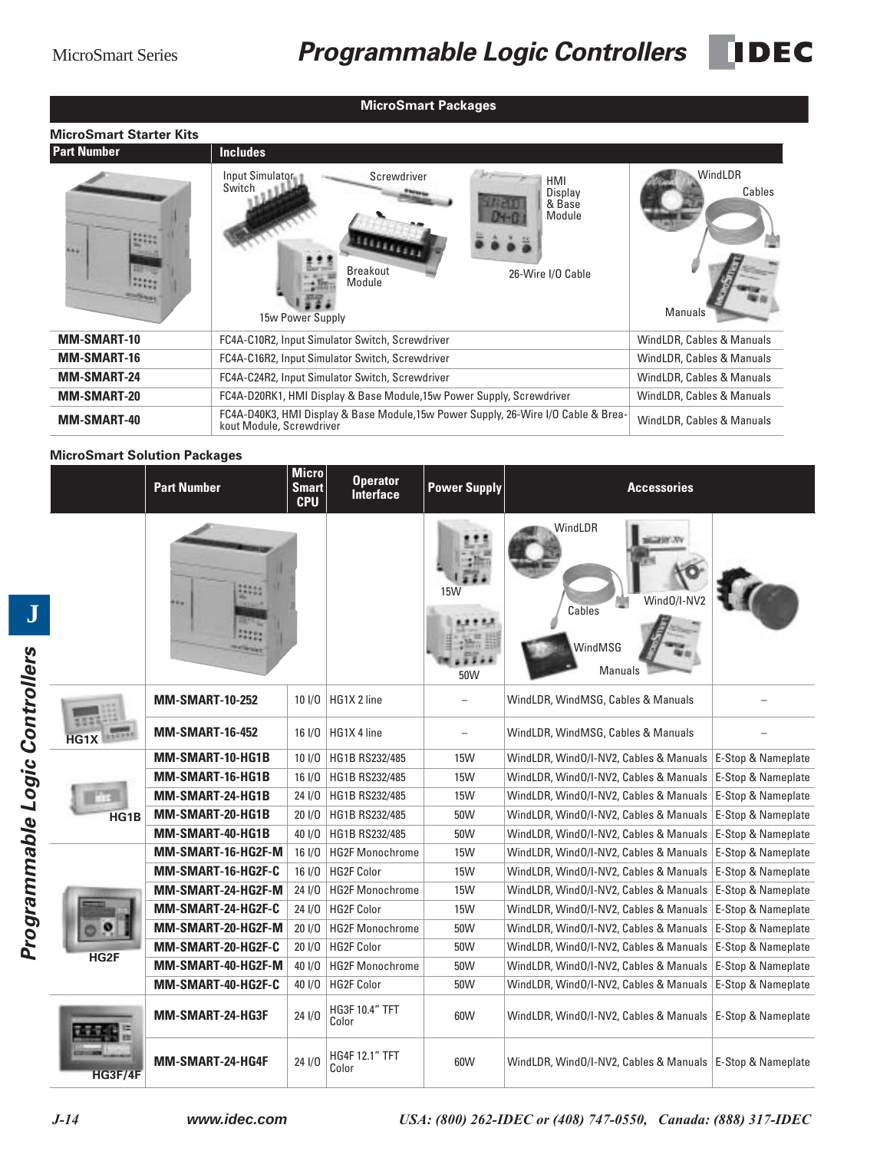|                                | <b>MicroSmart Packages</b>                                                                                                                           |                              |
|--------------------------------|------------------------------------------------------------------------------------------------------------------------------------------------------|------------------------------|
| <b>MicroSmart Starter Kits</b> |                                                                                                                                                      |                              |
| <b>Part Number</b>             | <b>Includes</b>                                                                                                                                      |                              |
| 4.614                          | Screwdriver<br>Input Simulator<br>HMI<br>Switch<br>Display<br>& Base<br>Module<br><b>Breakout</b><br>26-Wire I/O Cable<br>Module<br>15w Power Supply | WindLDR<br>Cables<br>Manuals |
| <b>MM-SMART-10</b>             | FC4A-C10R2, Input Simulator Switch, Screwdriver                                                                                                      | WindLDR, Cables & Manuals    |
| <b>MM-SMART-16</b>             | FC4A-C16R2, Input Simulator Switch, Screwdriver                                                                                                      | WindLDR, Cables & Manuals    |
| <b>MM-SMART-24</b>             | FC4A-C24R2, Input Simulator Switch, Screwdriver                                                                                                      | WindLDR, Cables & Manuals    |
| <b>MM-SMART-20</b>             | FC4A-D20RK1, HMI Display & Base Module, 15w Power Supply, Screwdriver                                                                                | WindLDR, Cables & Manuals    |
| <b>MM-SMART-40</b>             | FC4A-D40K3, HMI Display & Base Module,15w Power Supply, 26-Wire I/O Cable & Brea-<br>kout Module, Screwdriver                                        | WindLDR, Cables & Manuals    |

### **MicroSmart Solution Packages**

|                  | <b>Part Number</b>      | <b>Micro</b><br><b>Smart</b><br><b>CPU</b> | <b>Operator</b><br>Interface   | <b>Power Supply</b> | <b>Accessories</b>                                          |                    |
|------------------|-------------------------|--------------------------------------------|--------------------------------|---------------------|-------------------------------------------------------------|--------------------|
|                  |                         |                                            |                                | 15W<br>50W          | WindLDR<br>Wind0/I-NV2<br>Cables<br>WindMSG<br>Manuals      |                    |
|                  | <b>MM-SMART-10-252</b>  | 101/0                                      | HG1X 2 line                    |                     | WindLDR, WindMSG, Cables & Manuals                          |                    |
| HG1)             | <b>MM-SMART-16-452</b>  | $16$ $I/O$                                 | HG1X 4 line                    |                     | WindLDR, WindMSG, Cables & Manuals                          |                    |
|                  | MM-SMART-10-HG1B        | 101/0                                      | HG1B RS232/485                 | <b>15W</b>          | WindLDR, WindO/I-NV2, Cables & Manuals                      | E-Stop & Nameplate |
|                  | MM-SMART-16-HG1B        | 16  /0                                     | HG1B RS232/485                 | <b>15W</b>          | WindLDR, WindO/I-NV2, Cables & Manuals                      | E-Stop & Nameplate |
|                  | MM-SMART-24-HG1B        | 24 I/O                                     | HG1B RS232/485                 | <b>15W</b>          | WindLDR, WindO/I-NV2, Cables & Manuals                      | E-Stop & Nameplate |
| HG1B             | MM-SMART-20-HG1B        | 201/0                                      | HG1B RS232/485                 | 50W                 | WindLDR, WindO/I-NV2, Cables & Manuals                      | E-Stop & Nameplate |
|                  | MM-SMART-40-HG1B        | 40 1/0                                     | HG1B RS232/485                 | 50W                 | WindLDR, WindO/I-NV2, Cables & Manuals                      | E-Stop & Nameplate |
|                  | MM-SMART-16-HG2F-M      | $16$ $I/O$                                 | <b>HG2F Monochrome</b>         | <b>15W</b>          | WindLDR, WindO/I-NV2, Cables & Manuals   E-Stop & Nameplate |                    |
|                  | MM-SMART-16-HG2F-C      | $16$ $I/O$                                 | <b>HG2F Color</b>              | <b>15W</b>          | WindLDR, WindO/I-NV2, Cables & Manuals                      | E-Stop & Nameplate |
|                  | MM-SMART-24-HG2F-M      | 24 1/0                                     | <b>HG2F Monochrome</b>         | <b>15W</b>          | WindLDR, WindO/I-NV2, Cables & Manuals                      | E-Stop & Nameplate |
|                  | MM-SMART-24-HG2F-C      | 24 1/0                                     | HG2F Color                     | <b>15W</b>          | WindLDR, WindO/I-NV2, Cables & Manuals                      | E-Stop & Nameplate |
|                  | MM-SMART-20-HG2F-M      | 201/0                                      | <b>HG2F Monochrome</b>         | 50W                 | WindLDR, WindO/I-NV2, Cables & Manuals                      | E-Stop & Nameplate |
| HG <sub>2F</sub> | MM-SMART-20-HG2F-C      | 20 1/0                                     | <b>HG2F Color</b>              | 50W                 | WindLDR, WindO/I-NV2, Cables & Manuals                      | E-Stop & Nameplate |
|                  | MM-SMART-40-HG2F-M      | 40 1/0                                     | <b>HG2F Monochrome</b>         | 50W                 | WindLDR, WindO/I-NV2, Cables & Manuals   E-Stop & Nameplate |                    |
|                  | MM-SMART-40-HG2F-C      | 40 I/O                                     | <b>HG2F Color</b>              | 50W                 | WindLDR, WindO/I-NV2, Cables & Manuals                      | E-Stop & Nameplate |
|                  | <b>MM-SMART-24-HG3F</b> | $24$ $1/0$                                 | <b>HG3F 10.4" TFT</b><br>Color | 60W                 | WindLDR, WindO/I-NV2, Cables & Manuals   E-Stop & Nameplate |                    |
| HG3F/4F          | MM-SMART-24-HG4F        | 24 1/0                                     | HG4F 12.1" TFT<br>Color        | 60W                 | WindLDR, WindO/I-NV2, Cables & Manuals   E-Stop & Nameplate |                    |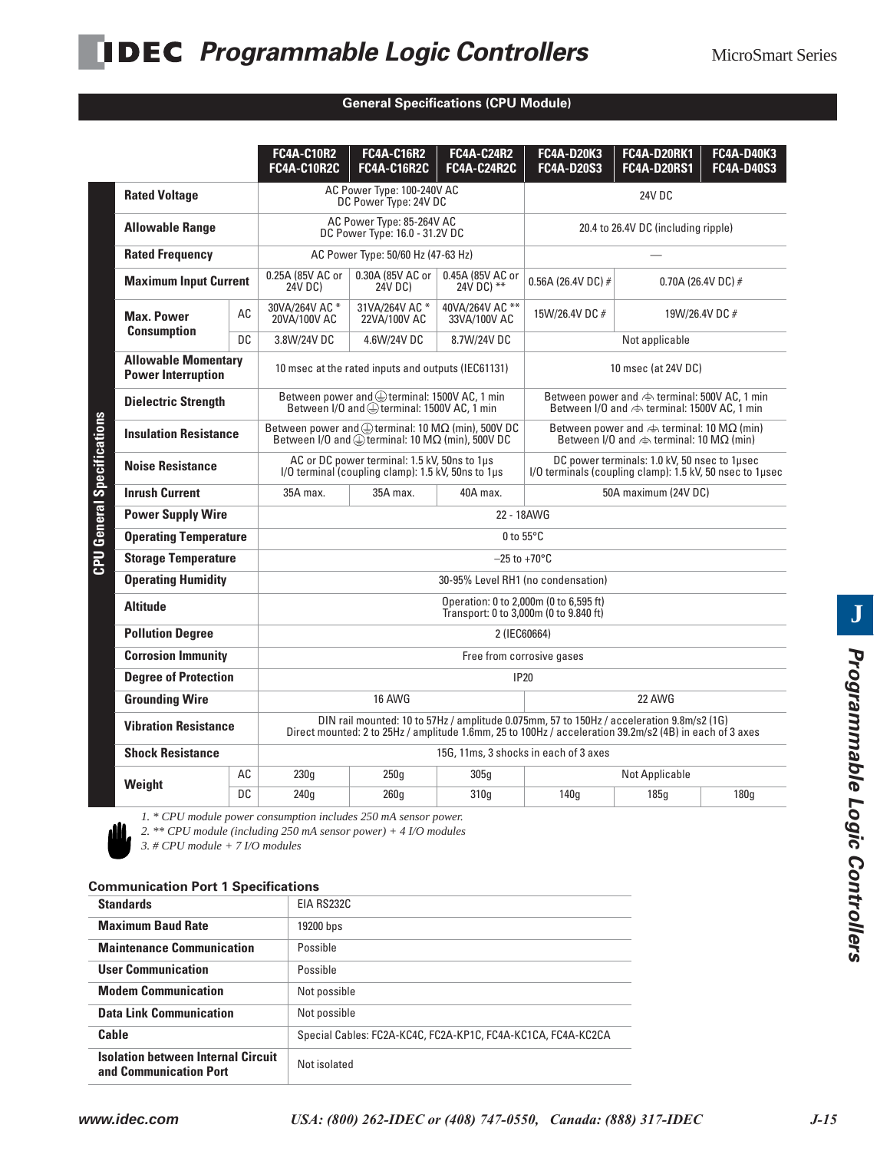| <b>FC4A-C24R2</b><br><b>FC4A-D20K3</b><br><b>FC4A-D20RK1</b><br><b>FC4A-C10R2</b><br><b>FC4A-C16R2</b><br><b>FC4A-C10R2C</b><br><b>FC4A-C16R2C</b><br><b>FC4A-C24R2C</b><br><b>FC4A-D20S3</b><br><b>FC4A-D20RS1</b><br>AC Power Type: 100-240V AC<br><b>Rated Voltage</b><br>24V DC<br>DC Power Type: 24V DC<br>AC Power Type: 85-264V AC<br><b>Allowable Range</b><br>20.4 to 26.4V DC (including ripple)<br>DC Power Type: 16.0 - 31.2V DC<br><b>Rated Frequency</b><br>AC Power Type: 50/60 Hz (47-63 Hz)<br>0.25A (85V AC or<br>0.30A (85V AC or<br>0.45A (85V AC or<br><b>Maximum Input Current</b><br>0.56A (26.4V DC) $#$<br>0.70A (26.4V DC) $#$<br>24V DC) **<br>24V DC)<br>24V DC)<br>31VA/264V AC *<br>30VA/264V AC *<br>40VA/264V AC **<br>AC<br>15W/26.4V DC #<br>19W/26.4V DC #<br><b>Max. Power</b><br>20VA/100V AC<br>22VA/100V AC<br>33VA/100V AC<br><b>Consumption</b><br><b>DC</b><br>3.8W/24V DC<br>4.6W/24V DC<br>8.7W/24V DC<br>Not applicable<br><b>Allowable Momentary</b><br>10 msec at the rated inputs and outputs (IEC61131)<br>10 msec (at 24V DC)<br><b>Power Interruption</b><br>Between power and @terminal: 1500V AC, 1 min<br><b>Dielectric Strength</b><br>Between I/O and leterminal: 1500V AC, 1 min<br>Between power and $\bigoplus$ terminal: 10 M $\Omega$ (min), 500V DC<br><b>Insulation Resistance</b><br>Between I/O and $\bigoplus$ terminal: 10 M $\Omega$ (min), 500V DC<br>Between I/O and $\Leftrightarrow$ terminal: 10 M $\Omega$ (min)<br>AC or DC power terminal: 1.5 kV, 50ns to 1µs<br>DC power terminals: 1.0 kV, 50 nsec to 1µsec<br><b>Noise Resistance</b><br>I/O terminal (coupling clamp): 1.5 kV, 50ns to 1us<br>I/O terminals (coupling clamp): 1.5 kV, 50 nsec to 1usec<br><b>Inrush Current</b><br>50A maximum (24V DC)<br>35A max.<br>35A max.<br>40A max.<br>22 - 18AWG<br><b>Power Supply Wire</b><br><b>Operating Temperature</b><br>0 to $55^{\circ}$ C<br><b>Storage Temperature</b><br>$-25$ to $+70^{\circ}$ C<br><b>Operating Humidity</b><br>30-95% Level RH1 (no condensation)<br>Operation: 0 to 2,000m (0 to 6,595 ft)<br><b>Altitude</b><br>Transport: 0 to 3,000m (0 to 9.840 ft)<br><b>Pollution Degree</b><br>2 (IEC60664)<br><b>Corrosion Immunity</b><br>Free from corrosive gases<br><b>Degree of Protection</b><br><b>IP20</b><br><b>Grounding Wire</b><br>16 AWG<br>22 AWG<br>DIN rail mounted: 10 to 57Hz / amplitude 0.075mm, 57 to 150Hz / acceleration 9.8m/s2 (1G)<br><b>Vibration Resistance</b><br>Direct mounted: 2 to 25Hz / amplitude 1.6mm, 25 to 100Hz / acceleration 39.2m/s2 (4B) in each of 3 axes<br><b>Shock Resistance</b><br>15G, 11ms, 3 shocks in each of 3 axes<br>AC<br>230q<br>250q<br><b>Not Applicable</b><br>305q<br>Weight |  |  |  |  |                                                                   |                                                                                                                             |  |                                        |  |
|-----------------------------------------------------------------------------------------------------------------------------------------------------------------------------------------------------------------------------------------------------------------------------------------------------------------------------------------------------------------------------------------------------------------------------------------------------------------------------------------------------------------------------------------------------------------------------------------------------------------------------------------------------------------------------------------------------------------------------------------------------------------------------------------------------------------------------------------------------------------------------------------------------------------------------------------------------------------------------------------------------------------------------------------------------------------------------------------------------------------------------------------------------------------------------------------------------------------------------------------------------------------------------------------------------------------------------------------------------------------------------------------------------------------------------------------------------------------------------------------------------------------------------------------------------------------------------------------------------------------------------------------------------------------------------------------------------------------------------------------------------------------------------------------------------------------------------------------------------------------------------------------------------------------------------------------------------------------------------------------------------------------------------------------------------------------------------------------------------------------------------------------------------------------------------------------------------------------------------------------------------------------------------------------------------------------------------------------------------------------------------------------------------------------------------------------------------------------------------------------------------------------------------------------------------------------------------------------------------------------------------------------------------------------------------------------------------------------------------------------------|--|--|--|--|-------------------------------------------------------------------|-----------------------------------------------------------------------------------------------------------------------------|--|----------------------------------------|--|
|                                                                                                                                                                                                                                                                                                                                                                                                                                                                                                                                                                                                                                                                                                                                                                                                                                                                                                                                                                                                                                                                                                                                                                                                                                                                                                                                                                                                                                                                                                                                                                                                                                                                                                                                                                                                                                                                                                                                                                                                                                                                                                                                                                                                                                                                                                                                                                                                                                                                                                                                                                                                                                                                                                                                               |  |  |  |  |                                                                   |                                                                                                                             |  | <b>FC4A-D40K3</b><br><b>FC4A-D40S3</b> |  |
|                                                                                                                                                                                                                                                                                                                                                                                                                                                                                                                                                                                                                                                                                                                                                                                                                                                                                                                                                                                                                                                                                                                                                                                                                                                                                                                                                                                                                                                                                                                                                                                                                                                                                                                                                                                                                                                                                                                                                                                                                                                                                                                                                                                                                                                                                                                                                                                                                                                                                                                                                                                                                                                                                                                                               |  |  |  |  |                                                                   |                                                                                                                             |  |                                        |  |
|                                                                                                                                                                                                                                                                                                                                                                                                                                                                                                                                                                                                                                                                                                                                                                                                                                                                                                                                                                                                                                                                                                                                                                                                                                                                                                                                                                                                                                                                                                                                                                                                                                                                                                                                                                                                                                                                                                                                                                                                                                                                                                                                                                                                                                                                                                                                                                                                                                                                                                                                                                                                                                                                                                                                               |  |  |  |  |                                                                   |                                                                                                                             |  |                                        |  |
|                                                                                                                                                                                                                                                                                                                                                                                                                                                                                                                                                                                                                                                                                                                                                                                                                                                                                                                                                                                                                                                                                                                                                                                                                                                                                                                                                                                                                                                                                                                                                                                                                                                                                                                                                                                                                                                                                                                                                                                                                                                                                                                                                                                                                                                                                                                                                                                                                                                                                                                                                                                                                                                                                                                                               |  |  |  |  |                                                                   |                                                                                                                             |  |                                        |  |
|                                                                                                                                                                                                                                                                                                                                                                                                                                                                                                                                                                                                                                                                                                                                                                                                                                                                                                                                                                                                                                                                                                                                                                                                                                                                                                                                                                                                                                                                                                                                                                                                                                                                                                                                                                                                                                                                                                                                                                                                                                                                                                                                                                                                                                                                                                                                                                                                                                                                                                                                                                                                                                                                                                                                               |  |  |  |  |                                                                   |                                                                                                                             |  |                                        |  |
|                                                                                                                                                                                                                                                                                                                                                                                                                                                                                                                                                                                                                                                                                                                                                                                                                                                                                                                                                                                                                                                                                                                                                                                                                                                                                                                                                                                                                                                                                                                                                                                                                                                                                                                                                                                                                                                                                                                                                                                                                                                                                                                                                                                                                                                                                                                                                                                                                                                                                                                                                                                                                                                                                                                                               |  |  |  |  |                                                                   |                                                                                                                             |  |                                        |  |
|                                                                                                                                                                                                                                                                                                                                                                                                                                                                                                                                                                                                                                                                                                                                                                                                                                                                                                                                                                                                                                                                                                                                                                                                                                                                                                                                                                                                                                                                                                                                                                                                                                                                                                                                                                                                                                                                                                                                                                                                                                                                                                                                                                                                                                                                                                                                                                                                                                                                                                                                                                                                                                                                                                                                               |  |  |  |  |                                                                   |                                                                                                                             |  |                                        |  |
|                                                                                                                                                                                                                                                                                                                                                                                                                                                                                                                                                                                                                                                                                                                                                                                                                                                                                                                                                                                                                                                                                                                                                                                                                                                                                                                                                                                                                                                                                                                                                                                                                                                                                                                                                                                                                                                                                                                                                                                                                                                                                                                                                                                                                                                                                                                                                                                                                                                                                                                                                                                                                                                                                                                                               |  |  |  |  |                                                                   |                                                                                                                             |  |                                        |  |
|                                                                                                                                                                                                                                                                                                                                                                                                                                                                                                                                                                                                                                                                                                                                                                                                                                                                                                                                                                                                                                                                                                                                                                                                                                                                                                                                                                                                                                                                                                                                                                                                                                                                                                                                                                                                                                                                                                                                                                                                                                                                                                                                                                                                                                                                                                                                                                                                                                                                                                                                                                                                                                                                                                                                               |  |  |  |  |                                                                   | Between power and $\Leftrightarrow$ terminal: 500V AC, 1 min<br>Between I/O and $\Leftrightarrow$ terminal: 1500V AC, 1 min |  |                                        |  |
|                                                                                                                                                                                                                                                                                                                                                                                                                                                                                                                                                                                                                                                                                                                                                                                                                                                                                                                                                                                                                                                                                                                                                                                                                                                                                                                                                                                                                                                                                                                                                                                                                                                                                                                                                                                                                                                                                                                                                                                                                                                                                                                                                                                                                                                                                                                                                                                                                                                                                                                                                                                                                                                                                                                                               |  |  |  |  | Between power and $\Leftrightarrow$ terminal: 10 M $\Omega$ (min) |                                                                                                                             |  |                                        |  |
|                                                                                                                                                                                                                                                                                                                                                                                                                                                                                                                                                                                                                                                                                                                                                                                                                                                                                                                                                                                                                                                                                                                                                                                                                                                                                                                                                                                                                                                                                                                                                                                                                                                                                                                                                                                                                                                                                                                                                                                                                                                                                                                                                                                                                                                                                                                                                                                                                                                                                                                                                                                                                                                                                                                                               |  |  |  |  |                                                                   |                                                                                                                             |  |                                        |  |
|                                                                                                                                                                                                                                                                                                                                                                                                                                                                                                                                                                                                                                                                                                                                                                                                                                                                                                                                                                                                                                                                                                                                                                                                                                                                                                                                                                                                                                                                                                                                                                                                                                                                                                                                                                                                                                                                                                                                                                                                                                                                                                                                                                                                                                                                                                                                                                                                                                                                                                                                                                                                                                                                                                                                               |  |  |  |  |                                                                   |                                                                                                                             |  |                                        |  |
|                                                                                                                                                                                                                                                                                                                                                                                                                                                                                                                                                                                                                                                                                                                                                                                                                                                                                                                                                                                                                                                                                                                                                                                                                                                                                                                                                                                                                                                                                                                                                                                                                                                                                                                                                                                                                                                                                                                                                                                                                                                                                                                                                                                                                                                                                                                                                                                                                                                                                                                                                                                                                                                                                                                                               |  |  |  |  |                                                                   |                                                                                                                             |  |                                        |  |
|                                                                                                                                                                                                                                                                                                                                                                                                                                                                                                                                                                                                                                                                                                                                                                                                                                                                                                                                                                                                                                                                                                                                                                                                                                                                                                                                                                                                                                                                                                                                                                                                                                                                                                                                                                                                                                                                                                                                                                                                                                                                                                                                                                                                                                                                                                                                                                                                                                                                                                                                                                                                                                                                                                                                               |  |  |  |  |                                                                   |                                                                                                                             |  |                                        |  |
|                                                                                                                                                                                                                                                                                                                                                                                                                                                                                                                                                                                                                                                                                                                                                                                                                                                                                                                                                                                                                                                                                                                                                                                                                                                                                                                                                                                                                                                                                                                                                                                                                                                                                                                                                                                                                                                                                                                                                                                                                                                                                                                                                                                                                                                                                                                                                                                                                                                                                                                                                                                                                                                                                                                                               |  |  |  |  |                                                                   |                                                                                                                             |  |                                        |  |
|                                                                                                                                                                                                                                                                                                                                                                                                                                                                                                                                                                                                                                                                                                                                                                                                                                                                                                                                                                                                                                                                                                                                                                                                                                                                                                                                                                                                                                                                                                                                                                                                                                                                                                                                                                                                                                                                                                                                                                                                                                                                                                                                                                                                                                                                                                                                                                                                                                                                                                                                                                                                                                                                                                                                               |  |  |  |  |                                                                   |                                                                                                                             |  |                                        |  |
|                                                                                                                                                                                                                                                                                                                                                                                                                                                                                                                                                                                                                                                                                                                                                                                                                                                                                                                                                                                                                                                                                                                                                                                                                                                                                                                                                                                                                                                                                                                                                                                                                                                                                                                                                                                                                                                                                                                                                                                                                                                                                                                                                                                                                                                                                                                                                                                                                                                                                                                                                                                                                                                                                                                                               |  |  |  |  |                                                                   |                                                                                                                             |  |                                        |  |
|                                                                                                                                                                                                                                                                                                                                                                                                                                                                                                                                                                                                                                                                                                                                                                                                                                                                                                                                                                                                                                                                                                                                                                                                                                                                                                                                                                                                                                                                                                                                                                                                                                                                                                                                                                                                                                                                                                                                                                                                                                                                                                                                                                                                                                                                                                                                                                                                                                                                                                                                                                                                                                                                                                                                               |  |  |  |  |                                                                   |                                                                                                                             |  |                                        |  |
|                                                                                                                                                                                                                                                                                                                                                                                                                                                                                                                                                                                                                                                                                                                                                                                                                                                                                                                                                                                                                                                                                                                                                                                                                                                                                                                                                                                                                                                                                                                                                                                                                                                                                                                                                                                                                                                                                                                                                                                                                                                                                                                                                                                                                                                                                                                                                                                                                                                                                                                                                                                                                                                                                                                                               |  |  |  |  |                                                                   |                                                                                                                             |  |                                        |  |
|                                                                                                                                                                                                                                                                                                                                                                                                                                                                                                                                                                                                                                                                                                                                                                                                                                                                                                                                                                                                                                                                                                                                                                                                                                                                                                                                                                                                                                                                                                                                                                                                                                                                                                                                                                                                                                                                                                                                                                                                                                                                                                                                                                                                                                                                                                                                                                                                                                                                                                                                                                                                                                                                                                                                               |  |  |  |  |                                                                   |                                                                                                                             |  |                                        |  |
|                                                                                                                                                                                                                                                                                                                                                                                                                                                                                                                                                                                                                                                                                                                                                                                                                                                                                                                                                                                                                                                                                                                                                                                                                                                                                                                                                                                                                                                                                                                                                                                                                                                                                                                                                                                                                                                                                                                                                                                                                                                                                                                                                                                                                                                                                                                                                                                                                                                                                                                                                                                                                                                                                                                                               |  |  |  |  |                                                                   |                                                                                                                             |  |                                        |  |
|                                                                                                                                                                                                                                                                                                                                                                                                                                                                                                                                                                                                                                                                                                                                                                                                                                                                                                                                                                                                                                                                                                                                                                                                                                                                                                                                                                                                                                                                                                                                                                                                                                                                                                                                                                                                                                                                                                                                                                                                                                                                                                                                                                                                                                                                                                                                                                                                                                                                                                                                                                                                                                                                                                                                               |  |  |  |  |                                                                   |                                                                                                                             |  |                                        |  |
|                                                                                                                                                                                                                                                                                                                                                                                                                                                                                                                                                                                                                                                                                                                                                                                                                                                                                                                                                                                                                                                                                                                                                                                                                                                                                                                                                                                                                                                                                                                                                                                                                                                                                                                                                                                                                                                                                                                                                                                                                                                                                                                                                                                                                                                                                                                                                                                                                                                                                                                                                                                                                                                                                                                                               |  |  |  |  |                                                                   |                                                                                                                             |  |                                        |  |
|                                                                                                                                                                                                                                                                                                                                                                                                                                                                                                                                                                                                                                                                                                                                                                                                                                                                                                                                                                                                                                                                                                                                                                                                                                                                                                                                                                                                                                                                                                                                                                                                                                                                                                                                                                                                                                                                                                                                                                                                                                                                                                                                                                                                                                                                                                                                                                                                                                                                                                                                                                                                                                                                                                                                               |  |  |  |  |                                                                   |                                                                                                                             |  |                                        |  |
| DC<br>260g<br>140q<br>185q<br>180q<br>240q<br>310q                                                                                                                                                                                                                                                                                                                                                                                                                                                                                                                                                                                                                                                                                                                                                                                                                                                                                                                                                                                                                                                                                                                                                                                                                                                                                                                                                                                                                                                                                                                                                                                                                                                                                                                                                                                                                                                                                                                                                                                                                                                                                                                                                                                                                                                                                                                                                                                                                                                                                                                                                                                                                                                                                            |  |  |  |  |                                                                   |                                                                                                                             |  |                                        |  |

#### **General Specifications (CPU Module)**



*1. \* CPU module power consumption includes 250 mA sensor power. 2. \*\* CPU module (including 250 mA sensor power) + 4 I/O modules*

*3. # CPU module + 7 I/O modules*

#### **Communication Port 1 Specifications**

| <b>Standards</b>                                                    | EIA RS232C                                                   |
|---------------------------------------------------------------------|--------------------------------------------------------------|
| <b>Maximum Baud Rate</b>                                            | 19200 bps                                                    |
| <b>Maintenance Communication</b>                                    | Possible                                                     |
| <b>User Communication</b>                                           | Possible                                                     |
| <b>Modem Communication</b>                                          | Not possible                                                 |
| <b>Data Link Communication</b>                                      | Not possible                                                 |
| Cable                                                               | Special Cables: FC2A-KC4C, FC2A-KP1C, FC4A-KC1CA, FC4A-KC2CA |
| <b>Isolation between Internal Circuit</b><br>and Communication Port | Not isolated                                                 |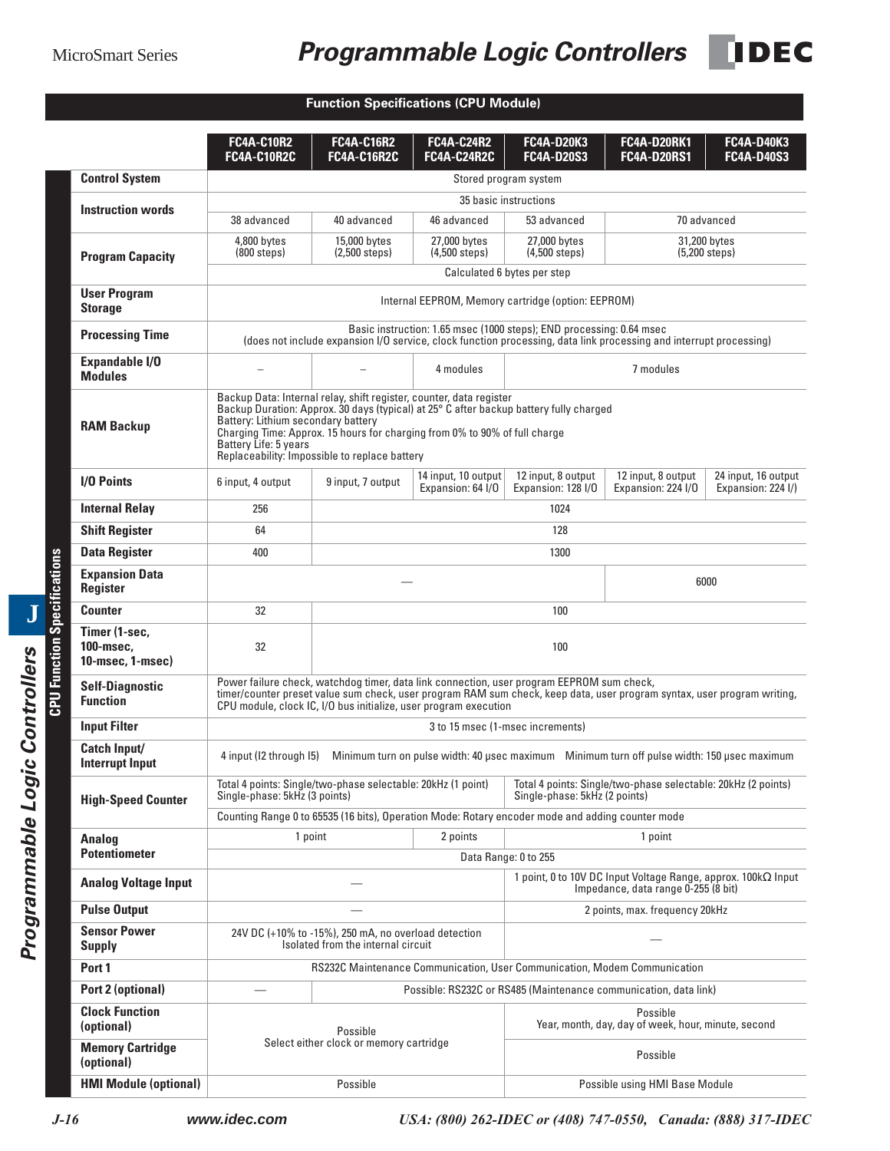## MicroSmart Series *Programmable Logic Controllers*

**IDEC** 

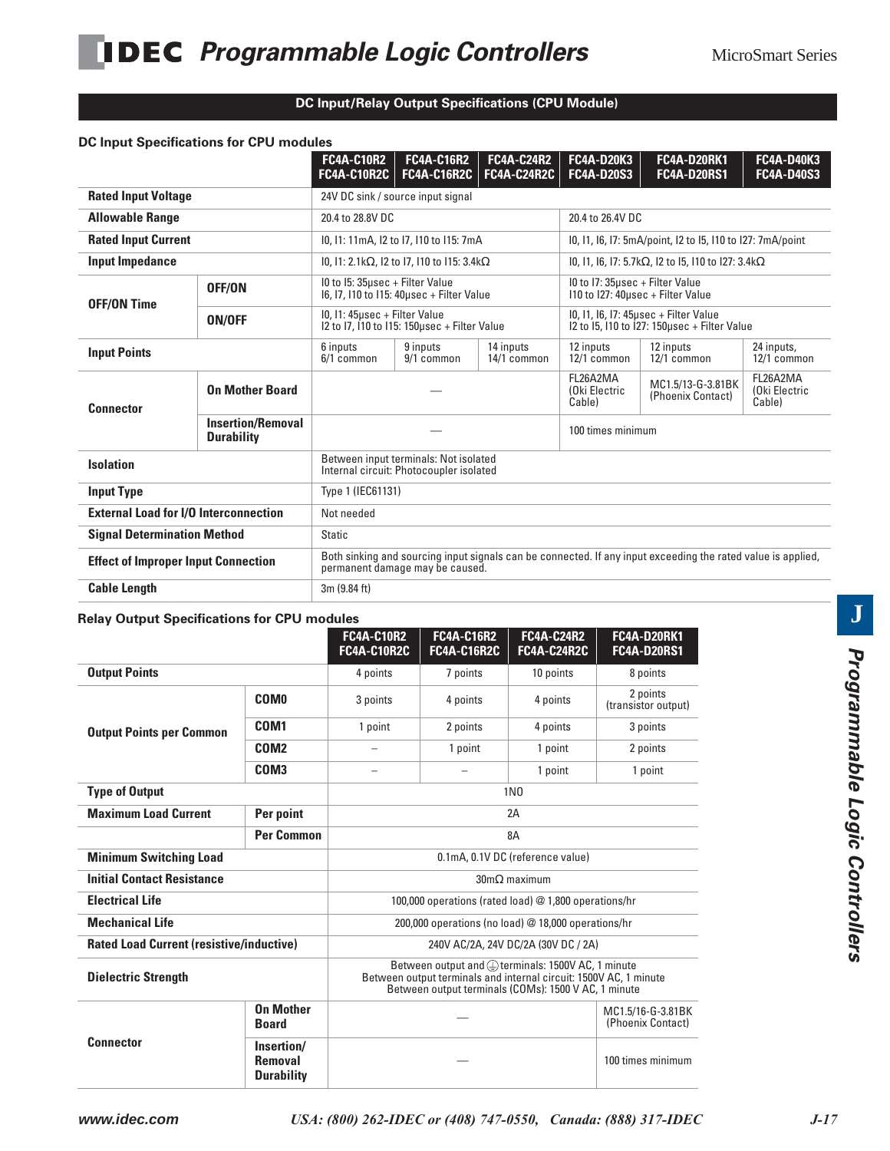#### **DC Input/Relay Output Specifications (CPU Module)**

|                                                                                             | DC Input Specifications for CPU modules |                                                                                                                                                 |                                            |                                                            |                                                                                       |                                          |                                        |  |
|---------------------------------------------------------------------------------------------|-----------------------------------------|-------------------------------------------------------------------------------------------------------------------------------------------------|--------------------------------------------|------------------------------------------------------------|---------------------------------------------------------------------------------------|------------------------------------------|----------------------------------------|--|
|                                                                                             |                                         | <b>FC4A-C10R2</b><br><b>FC4A-C10R2C</b>                                                                                                         | <b>FC4A-C16R2</b><br><b>FC4A-C16R2C</b>    | <b>FC4A-C24R2</b><br><b>FC4A-C24R2C</b>                    | <b>FC4A-D20K3</b><br><b>FC4A-D20S3</b>                                                | <b>FC4A-D20RK1</b><br><b>FC4A-D20RS1</b> | <b>FC4A-D40K3</b><br><b>FC4A-D40S3</b> |  |
| <b>Rated Input Voltage</b>                                                                  |                                         |                                                                                                                                                 | 24V DC sink / source input signal          |                                                            |                                                                                       |                                          |                                        |  |
| <b>Allowable Range</b>                                                                      |                                         | 20.4 to 28.8V DC                                                                                                                                |                                            |                                                            | 20.4 to 26.4V DC                                                                      |                                          |                                        |  |
| <b>Rated Input Current</b>                                                                  |                                         |                                                                                                                                                 | 10, 11: 11mA, 12 to 17, 110 to 115: 7mA    | 10, 11, 16, 17: 5mA/point, 12 to 15, 110 to 127: 7mA/point |                                                                                       |                                          |                                        |  |
| Input Impedance                                                                             |                                         |                                                                                                                                                 | I0, I1: 2.1kΩ, I2 to I7, I10 to I15: 3.4kΩ |                                                            | I0, 11, 16, 17: 5.7kΩ, 12 to 15, 110 to 127: 3.4kΩ                                    |                                          |                                        |  |
| OFF/ON<br><b>OFF/ON Time</b>                                                                |                                         | IO to I5: 35usec + Filter Value<br>16, 17, 110 to 115: 40usec + Filter Value                                                                    |                                            |                                                            | IO to I7: 35usec + Filter Value<br>110 to 127: 40usec + Filter Value                  |                                          |                                        |  |
| ON/OFF                                                                                      |                                         | I0, I1: 45µsec + Filter Value<br>I2 to I7, I10 to I15: 150 µsec + Filter Value                                                                  |                                            |                                                            | 10, 11, 16, 17: 45usec + Filter Value<br>I2 to I5, I10 to I27: 150usec + Filter Value |                                          |                                        |  |
| <b>Input Points</b>                                                                         |                                         | 6 inputs<br>6/1 common                                                                                                                          | 9 inputs<br>9/1 common                     | 14 inputs<br>14/1 common                                   | 12 inputs<br>12/1 common                                                              | 12 inputs<br>12/1 common                 | 24 inputs,<br>12/1 common              |  |
| <b>On Mother Board</b><br><b>Connector</b><br><b>Insertion/Removal</b><br><b>Durability</b> |                                         |                                                                                                                                                 |                                            |                                                            | FL26A2MA<br>(Oki Electric<br>Cable)                                                   | MC1.5/13-G-3.81BK<br>(Phoenix Contact)   | FL26A2MA<br>(Oki Electric<br>Cable)    |  |
|                                                                                             |                                         |                                                                                                                                                 |                                            |                                                            | 100 times minimum                                                                     |                                          |                                        |  |
| <b>Isolation</b>                                                                            |                                         | Between input terminals: Not isolated<br>Internal circuit: Photocoupler isolated                                                                |                                            |                                                            |                                                                                       |                                          |                                        |  |
| <b>Input Type</b><br>Type 1 (IEC61131)                                                      |                                         |                                                                                                                                                 |                                            |                                                            |                                                                                       |                                          |                                        |  |
| <b>External Load for I/O Interconnection</b>                                                |                                         | Not needed                                                                                                                                      |                                            |                                                            |                                                                                       |                                          |                                        |  |
| <b>Signal Determination Method</b>                                                          |                                         | <b>Static</b>                                                                                                                                   |                                            |                                                            |                                                                                       |                                          |                                        |  |
| <b>Effect of Improper Input Connection</b>                                                  |                                         | Both sinking and sourcing input signals can be connected. If any input exceeding the rated value is applied,<br>permanent damage may be caused. |                                            |                                                            |                                                                                       |                                          |                                        |  |
| <b>Cable Length</b>                                                                         |                                         | 3m (9.84 ft)                                                                                                                                    |                                            |                                                            |                                                                                       |                                          |                                        |  |

#### **Relay Output Specifications for CPU modules**

|                                                 |                                                   | <b>FC4A-C10R2</b><br>FC4A-C10R2C                                                                                                                                               | <b>FC4A-C16R2</b><br><b>FC4A-C16R2C</b> | <b>FC4A-C24R2</b><br><b>FC4A-C24R2C</b>             | <b>FC4A-D20RK1</b><br><b>FC4A-D20RS1</b> |  |
|-------------------------------------------------|---------------------------------------------------|--------------------------------------------------------------------------------------------------------------------------------------------------------------------------------|-----------------------------------------|-----------------------------------------------------|------------------------------------------|--|
| <b>Output Points</b>                            |                                                   | 4 points                                                                                                                                                                       | 7 points                                | 10 points                                           | 8 points                                 |  |
|                                                 | <b>COMO</b>                                       | 3 points                                                                                                                                                                       | 4 points                                | 4 points                                            | 2 points<br>(transistor output)          |  |
| <b>Output Points per Common</b>                 | COM <sub>1</sub>                                  | 1 point                                                                                                                                                                        | 2 points                                | 4 points                                            | 3 points                                 |  |
|                                                 | COM <sub>2</sub>                                  |                                                                                                                                                                                | 1 point                                 | 1 point                                             | 2 points                                 |  |
|                                                 | COM <sub>3</sub>                                  |                                                                                                                                                                                |                                         | 1 point                                             | 1 point                                  |  |
| <b>Type of Output</b>                           |                                                   |                                                                                                                                                                                |                                         | 1 <sub>N0</sub>                                     |                                          |  |
| <b>Maximum Load Current</b>                     | Per point                                         |                                                                                                                                                                                |                                         | 2A                                                  |                                          |  |
|                                                 | <b>Per Common</b>                                 | 8A                                                                                                                                                                             |                                         |                                                     |                                          |  |
| <b>Minimum Switching Load</b>                   |                                                   | 0.1mA, 0.1V DC (reference value)                                                                                                                                               |                                         |                                                     |                                          |  |
| <b>Initial Contact Resistance</b>               |                                                   |                                                                                                                                                                                |                                         | $30 \text{m}\Omega$ maximum                         |                                          |  |
| <b>Electrical Life</b>                          |                                                   | 100,000 operations (rated load) @ 1,800 operations/hr                                                                                                                          |                                         |                                                     |                                          |  |
| <b>Mechanical Life</b>                          |                                                   |                                                                                                                                                                                |                                         | 200,000 operations (no load) @ 18,000 operations/hr |                                          |  |
| <b>Rated Load Current (resistive/inductive)</b> |                                                   |                                                                                                                                                                                |                                         | 240V AC/2A, 24V DC/2A (30V DC / 2A)                 |                                          |  |
| <b>Dielectric Strength</b>                      |                                                   | Between output and @terminals: 1500V AC, 1 minute<br>Between output terminals and internal circuit: 1500V AC, 1 minute<br>Between output terminals (COMs): 1500 V AC, 1 minute |                                         |                                                     |                                          |  |
|                                                 | <b>On Mother</b><br><b>Board</b>                  |                                                                                                                                                                                |                                         |                                                     | MC1.5/16-G-3.81BK<br>(Phoenix Contact)   |  |
| <b>Connector</b>                                | Insertion/<br><b>Removal</b><br><b>Durability</b> |                                                                                                                                                                                |                                         | 100 times minimum                                   |                                          |  |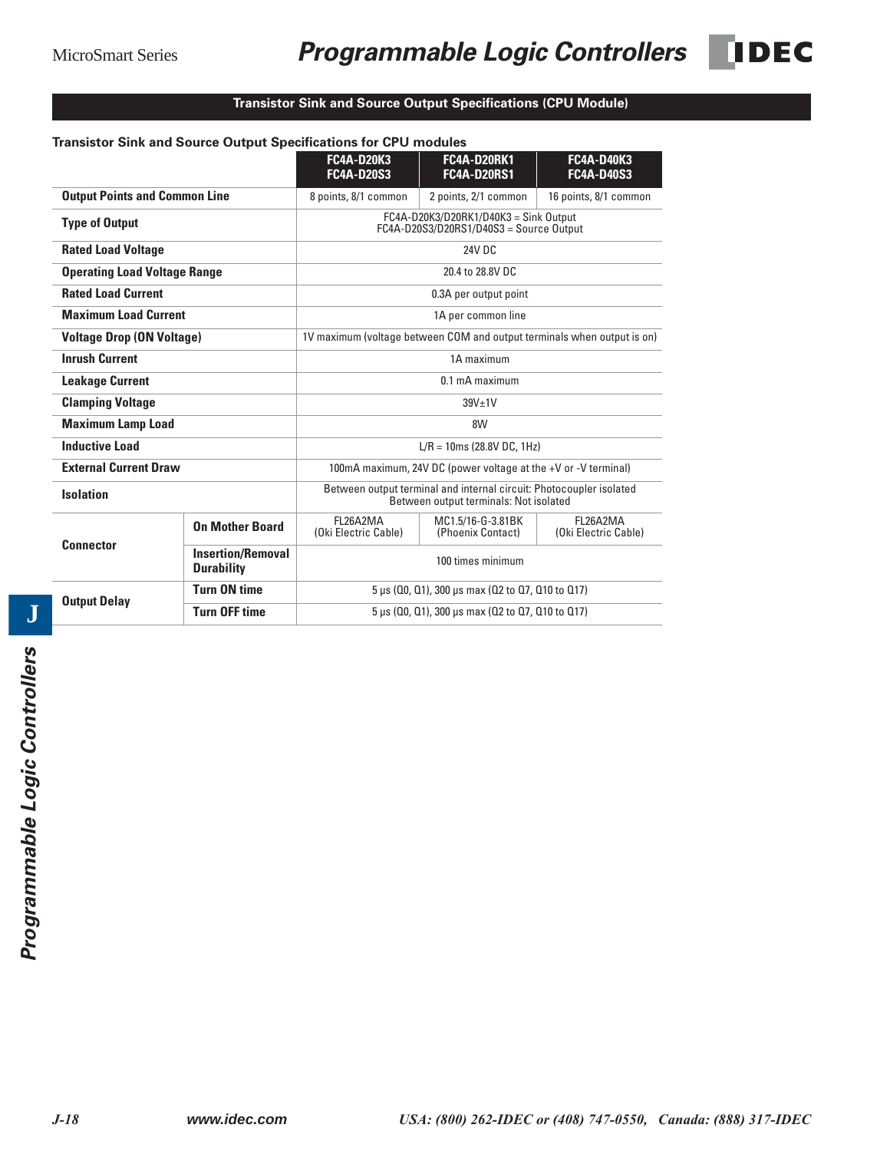## MicroSmart Series **Programmable Logic Controllers** DEC



|                                      |                                               | <b>FC4A-D20K3</b><br><b>FC4A-D20S3</b>                                  | <b>FC4A-D20RK1</b><br><b>FC4A-D20RS1</b>                                                                      | <b>FC4A-D40K3</b><br><b>FC4A-D40S3</b>   |  |  |
|--------------------------------------|-----------------------------------------------|-------------------------------------------------------------------------|---------------------------------------------------------------------------------------------------------------|------------------------------------------|--|--|
| <b>Output Points and Common Line</b> |                                               | 8 points, 8/1 common                                                    | 2 points, 2/1 common                                                                                          | 16 points, 8/1 common                    |  |  |
| <b>Type of Output</b>                |                                               |                                                                         | $FC4A-D20K3/D20RK1/D40K3 = Sink Output$<br>FC4A-D20S3/D20RS1/D40S3 = Source Output                            |                                          |  |  |
| <b>Rated Load Voltage</b>            |                                               |                                                                         | 24V DC                                                                                                        |                                          |  |  |
| <b>Operating Load Voltage Range</b>  |                                               |                                                                         | 20.4 to 28.8V DC                                                                                              |                                          |  |  |
| <b>Rated Load Current</b>            |                                               |                                                                         | 0.3A per output point                                                                                         |                                          |  |  |
| <b>Maximum Load Current</b>          |                                               | 1A per common line                                                      |                                                                                                               |                                          |  |  |
| <b>Voltage Drop (ON Voltage)</b>     |                                               | 1V maximum (voltage between COM and output terminals when output is on) |                                                                                                               |                                          |  |  |
| <b>Inrush Current</b>                |                                               | 1A maximum                                                              |                                                                                                               |                                          |  |  |
| <b>Leakage Current</b>               |                                               | 0.1 mA maximum                                                          |                                                                                                               |                                          |  |  |
| <b>Clamping Voltage</b>              |                                               |                                                                         | $39V+1V$                                                                                                      |                                          |  |  |
| <b>Maximum Lamp Load</b>             |                                               |                                                                         | 8W                                                                                                            |                                          |  |  |
| <b>Inductive Load</b>                |                                               |                                                                         | $L/R = 10$ ms (28.8V DC, 1Hz)                                                                                 |                                          |  |  |
| <b>External Current Draw</b>         |                                               |                                                                         | 100mA maximum, 24V DC (power voltage at the +V or -V terminal)                                                |                                          |  |  |
| <b>Isolation</b>                     |                                               |                                                                         | Between output terminal and internal circuit: Photocoupler isolated<br>Between output terminals: Not isolated |                                          |  |  |
|                                      | <b>On Mother Board</b>                        | FL26A2MA<br>(Oki Electric Cable)                                        | MC1.5/16-G-3.81BK<br>(Phoenix Contact)                                                                        | <b>FI 26A2MA</b><br>(Oki Electric Cable) |  |  |
| <b>Connector</b>                     | <b>Insertion/Removal</b><br><b>Durability</b> | 100 times minimum                                                       |                                                                                                               |                                          |  |  |
| <b>Output Delay</b>                  | <b>Turn ON time</b>                           | 5 µs (00, 01), 300 µs max (02 to 07, 010 to 017)                        |                                                                                                               |                                          |  |  |
|                                      | <b>Turn OFF time</b>                          | 5 µs (00, 01), 300 µs max (02 to 07, 010 to 017)                        |                                                                                                               |                                          |  |  |

## **Transistor Sink and Source Output Specifications (CPU Module)**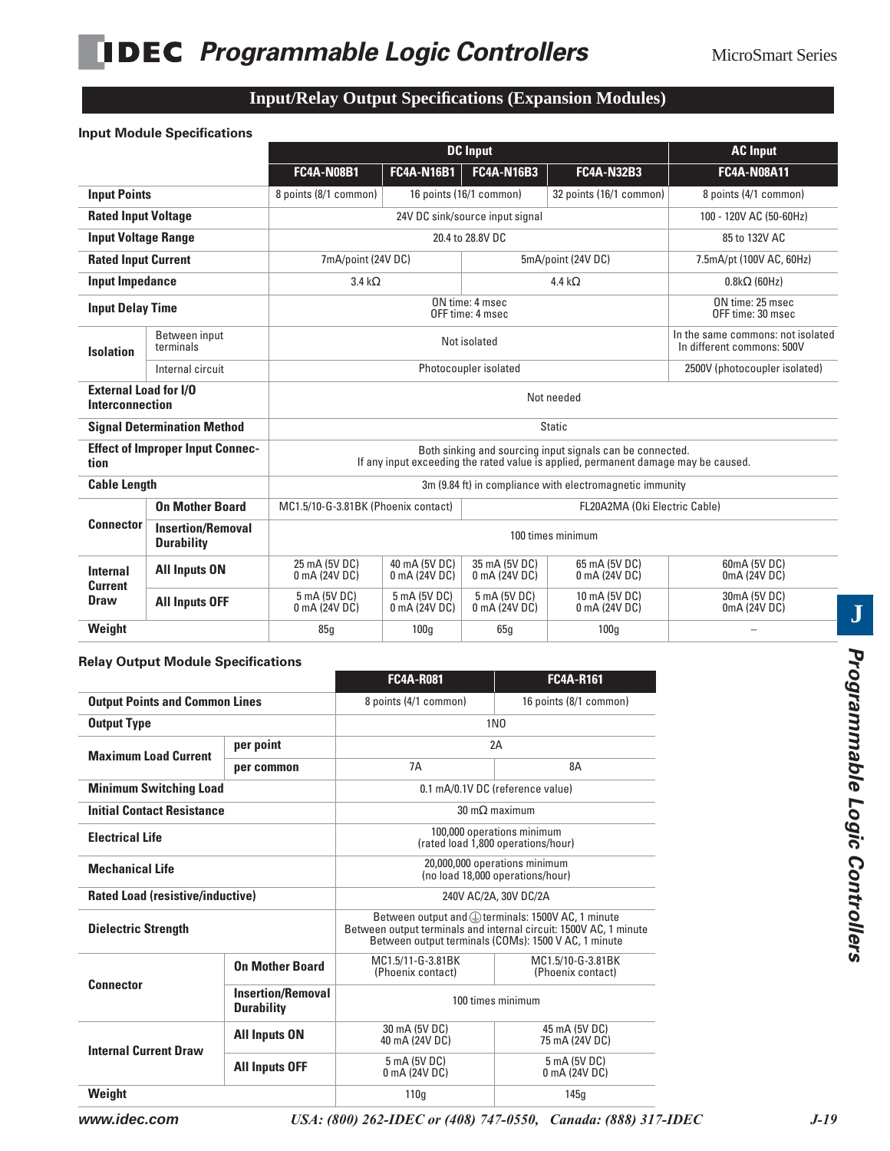## **Input/Relay Output Specifications (Expansion Modules)**

#### **Input Module Specifications**

|                                                 |                                               | <b>DC</b> Input                                                                                                                                 |                                       |                                 | <b>AC Input</b>                                          |                                                                 |  |
|-------------------------------------------------|-----------------------------------------------|-------------------------------------------------------------------------------------------------------------------------------------------------|---------------------------------------|---------------------------------|----------------------------------------------------------|-----------------------------------------------------------------|--|
|                                                 |                                               | <b>FC4A-N08B1</b>                                                                                                                               | <b>FC4A-N16B1</b>                     | <b>FC4A-N16B3</b>               | <b>FC4A-N32B3</b>                                        | <b>FC4A-N08A11</b>                                              |  |
| <b>Input Points</b>                             |                                               | 8 points (8/1 common)                                                                                                                           |                                       | 16 points (16/1 common)         | 32 points (16/1 common)                                  | 8 points (4/1 common)                                           |  |
| <b>Rated Input Voltage</b>                      |                                               |                                                                                                                                                 |                                       | 24V DC sink/source input signal |                                                          | 100 - 120V AC (50-60Hz)                                         |  |
| <b>Input Voltage Range</b>                      |                                               |                                                                                                                                                 |                                       | 20.4 to 28.8V DC                |                                                          | 85 to 132V AC                                                   |  |
| <b>Rated Input Current</b>                      |                                               | 7mA/point (24V DC)                                                                                                                              |                                       |                                 | 5mA/point (24V DC)                                       | 7.5mA/pt (100V AC, 60Hz)                                        |  |
| <b>Input Impedance</b>                          |                                               | 3.4 k $\Omega$                                                                                                                                  |                                       |                                 | 4.4 k $\Omega$                                           | $0.8k\Omega$ (60Hz)                                             |  |
| <b>Input Delay Time</b>                         |                                               |                                                                                                                                                 | ON time: 25 msec<br>OFF time: 30 msec |                                 |                                                          |                                                                 |  |
| <b>Isolation</b>                                | Between input<br>terminals                    |                                                                                                                                                 |                                       | Not isolated                    |                                                          | In the same commons: not isolated<br>In different commons: 500V |  |
|                                                 | Internal circuit                              |                                                                                                                                                 |                                       | Photocoupler isolated           |                                                          | 2500V (photocoupler isolated)                                   |  |
| <b>External Load for I/O</b><br>Interconnection |                                               | Not needed                                                                                                                                      |                                       |                                 |                                                          |                                                                 |  |
|                                                 | <b>Signal Determination Method</b>            | <b>Static</b>                                                                                                                                   |                                       |                                 |                                                          |                                                                 |  |
| tion                                            | <b>Effect of Improper Input Connec-</b>       | Both sinking and sourcing input signals can be connected.<br>If any input exceeding the rated value is applied, permanent damage may be caused. |                                       |                                 |                                                          |                                                                 |  |
| <b>Cable Length</b>                             |                                               |                                                                                                                                                 |                                       |                                 | 3m (9.84 ft) in compliance with electromagnetic immunity |                                                                 |  |
|                                                 | <b>On Mother Board</b>                        | MC1.5/10-G-3.81BK (Phoenix contact)                                                                                                             |                                       |                                 | FL20A2MA (Oki Electric Cable)                            |                                                                 |  |
| <b>Connector</b>                                | <b>Insertion/Removal</b><br><b>Durability</b> | 100 times minimum                                                                                                                               |                                       |                                 |                                                          |                                                                 |  |
| <b>Internal</b><br><b>Current</b>               | <b>All Inputs ON</b>                          | 25 mA (5V DC)<br>0 mA (24V DC)                                                                                                                  | 40 mA (5V DC)<br>0 mA (24V DC)        | 35 mA (5V DC)<br>0 mA (24V DC)  | 65 mA (5V DC)<br>0 mA (24V DC)                           | 60mA (5V DC)<br>0mA (24V DC)                                    |  |
| <b>Draw</b>                                     | <b>All Inputs OFF</b>                         | 5 mA (5V DC)<br>0 mA (24V DC)                                                                                                                   | 5 mA (5V DC)<br>0 mA (24V DC)         | 5 mA (5V DC)<br>0 mA (24V DC)   | 10 mA (5V DC)<br>0 mA (24V DC)                           | 30mA (5V DC)<br>0mA (24V DC)                                    |  |
| Weight                                          |                                               | 85q                                                                                                                                             | 100q                                  | 65q                             | 100q                                                     |                                                                 |  |

#### **Relay Output Module Specifications**

|                                                                   |                        | <b>FC4A-R081</b>                                                                                                                                                               | <b>FC4A-R161</b>                                                 |  |
|-------------------------------------------------------------------|------------------------|--------------------------------------------------------------------------------------------------------------------------------------------------------------------------------|------------------------------------------------------------------|--|
| <b>Output Points and Common Lines</b>                             |                        | 8 points (4/1 common)                                                                                                                                                          | 16 points (8/1 common)                                           |  |
| <b>Output Type</b>                                                |                        |                                                                                                                                                                                | 1N <sub>0</sub>                                                  |  |
| per point<br><b>Maximum Load Current</b>                          |                        |                                                                                                                                                                                | 2Α                                                               |  |
|                                                                   | per common             | 7A                                                                                                                                                                             | 8А                                                               |  |
| <b>Minimum Switching Load</b>                                     |                        |                                                                                                                                                                                | 0.1 mA/0.1V DC (reference value)                                 |  |
| <b>Initial Contact Resistance</b>                                 |                        | $30 \text{ m}\Omega$ maximum                                                                                                                                                   |                                                                  |  |
| <b>Electrical Life</b>                                            |                        |                                                                                                                                                                                | 100,000 operations minimum<br>(rated load 1,800 operations/hour) |  |
| <b>Mechanical Life</b>                                            |                        | 20,000,000 operations minimum<br>(no load 18.000 operations/hour)                                                                                                              |                                                                  |  |
| <b>Rated Load (resistive/inductive)</b>                           |                        | 240V AC/2A, 30V DC/2A                                                                                                                                                          |                                                                  |  |
| <b>Dielectric Strength</b>                                        |                        | Between output and @terminals: 1500V AC, 1 minute<br>Between output terminals and internal circuit: 1500V AC, 1 minute<br>Between output terminals (COMs): 1500 V AC, 1 minute |                                                                  |  |
|                                                                   | <b>On Mother Board</b> | MC1.5/11-G-3.81BK<br>(Phoenix contact)                                                                                                                                         | MC1.5/10-G-3.81BK<br>(Phoenix contact)                           |  |
| <b>Connector</b><br><b>Insertion/Removal</b><br><b>Durability</b> |                        | 100 times minimum                                                                                                                                                              |                                                                  |  |
| <b>Internal Current Draw</b>                                      | <b>All Inputs ON</b>   | 30 mA (5V DC)<br>40 mA (24V DC)                                                                                                                                                | 45 mA (5V DC)<br>75 mA (24V DC)                                  |  |
|                                                                   | <b>All Inputs OFF</b>  | 5 mA (5V DC)<br>0 mA (24V DC)                                                                                                                                                  | 5 mA (5V DC)<br>0 mA (24V DC)                                    |  |
| Weight                                                            |                        | 110 <sub>g</sub>                                                                                                                                                               | 145q                                                             |  |

**www.idec.com** *USA: (800) 262-IDEC or (408) 747-0550, Canada: (888) 317-IDEC J-19*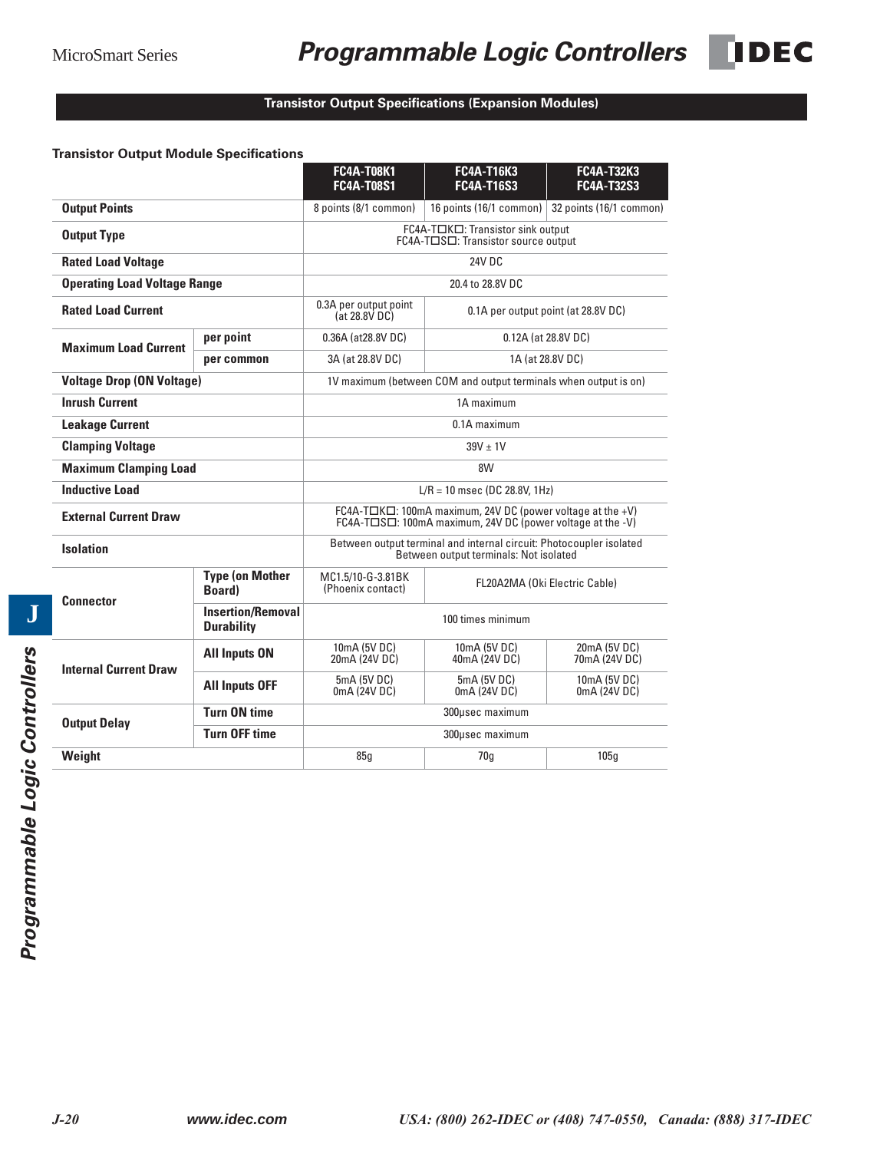#### **Transistor Output Specifications (Expansion Modules)**

#### **Transistor Output Module Specifications**

|                                            |                                               | <b>FC4A-T08K1</b><br><b>FC4A-T08S1</b>                                                                                          | <b>FC4A-T16K3</b><br><b>FC4A-T16S3</b>                                   | <b>FC4A-T32K3</b><br><b>FC4A-T32S3</b> |  |
|--------------------------------------------|-----------------------------------------------|---------------------------------------------------------------------------------------------------------------------------------|--------------------------------------------------------------------------|----------------------------------------|--|
| <b>Output Points</b>                       |                                               | 8 points (8/1 common)                                                                                                           | 16 points (16/1 common)                                                  | 32 points (16/1 common)                |  |
| <b>Output Type</b>                         |                                               |                                                                                                                                 | FC4A-TOKO: Transistor sink output<br>FC4A-T□S□: Transistor source output |                                        |  |
| <b>Rated Load Voltage</b>                  |                                               |                                                                                                                                 | <b>24V DC</b>                                                            |                                        |  |
| <b>Operating Load Voltage Range</b>        |                                               |                                                                                                                                 | 20.4 to 28.8V DC                                                         |                                        |  |
| <b>Rated Load Current</b>                  |                                               | 0.3A per output point<br>(at 28.8V DC)                                                                                          |                                                                          | 0.1A per output point (at 28.8V DC)    |  |
| per point<br><b>Maximum Load Current</b>   |                                               | 0.36A (at28.8V DC)                                                                                                              |                                                                          | 0.12A (at 28.8V DC)                    |  |
|                                            | per common                                    | 3A (at 28.8V DC)                                                                                                                |                                                                          | 1A (at 28.8V DC)                       |  |
| <b>Voltage Drop (ON Voltage)</b>           |                                               |                                                                                                                                 | 1V maximum (between COM and output terminals when output is on)          |                                        |  |
| <b>Inrush Current</b>                      |                                               |                                                                                                                                 | 1A maximum                                                               |                                        |  |
| <b>Leakage Current</b>                     |                                               | 0.1A maximum                                                                                                                    |                                                                          |                                        |  |
| <b>Clamping Voltage</b>                    |                                               | $39V + 1V$                                                                                                                      |                                                                          |                                        |  |
| <b>Maximum Clamping Load</b>               |                                               | 8W                                                                                                                              |                                                                          |                                        |  |
| <b>Inductive Load</b>                      |                                               | $L/R = 10$ msec (DC 28.8V, 1Hz)                                                                                                 |                                                                          |                                        |  |
| <b>External Current Draw</b>               |                                               | $FC4A-TIK \Box$ : 100mA maximum, 24V DC (power voltage at the +V)<br>FC4A-TOSO: 100mA maximum, 24V DC (power voltage at the -V) |                                                                          |                                        |  |
| <b>Isolation</b>                           |                                               | Between output terminal and internal circuit: Photocoupler isolated<br>Between output terminals: Not isolated                   |                                                                          |                                        |  |
| <b>Connector</b>                           | <b>Type (on Mother</b><br><b>Board</b> )      | MC1.5/10-G-3.81BK<br>(Phoenix contact)                                                                                          | FL20A2MA (Oki Electric Cable)                                            |                                        |  |
|                                            | <b>Insertion/Removal</b><br><b>Durability</b> | 100 times minimum                                                                                                               |                                                                          |                                        |  |
| <b>Internal Current Draw</b>               | <b>All Inputs ON</b>                          | 10mA (5V DC)<br>20mA (24V DC)                                                                                                   | 10mA (5V DC)<br>40mA (24V DC)                                            | 20mA (5V DC)<br>70mA (24V DC)          |  |
|                                            | <b>All Inputs OFF</b>                         | 5mA (5V DC)<br>0mA (24V DC)                                                                                                     | 5mA (5V DC)<br>0mA (24V DC)                                              | 10mA (5V DC)<br>0mA (24V DC)           |  |
| <b>Turn ON time</b><br><b>Output Delay</b> |                                               |                                                                                                                                 | 300µsec maximum                                                          |                                        |  |
|                                            | <b>Turn OFF time</b>                          |                                                                                                                                 | 300usec maximum                                                          |                                        |  |
| Weight                                     |                                               | 85q                                                                                                                             | 70q                                                                      | 105q                                   |  |
|                                            |                                               |                                                                                                                                 |                                                                          |                                        |  |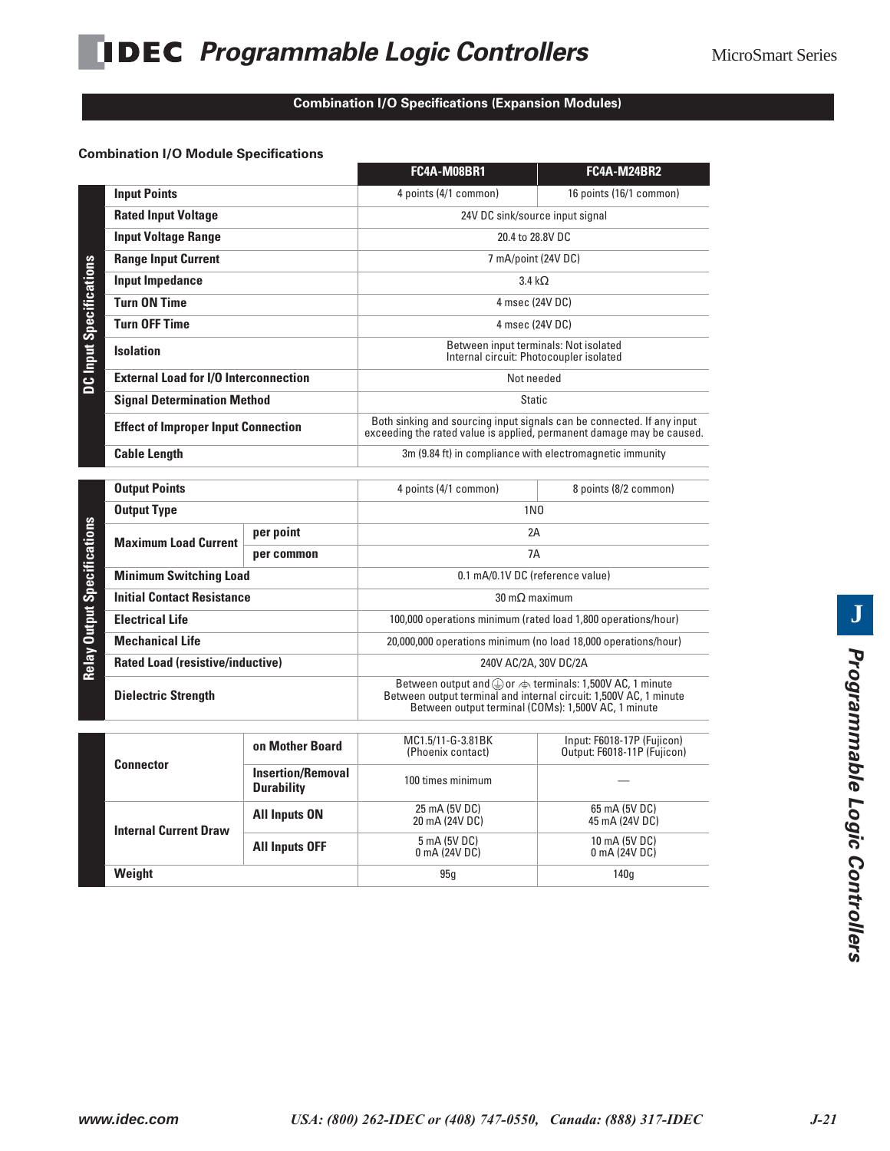#### **Combination I/O Specifications (Expansion Modules)**

#### **Combination I/O Module Specifications**

DC Input Spoolfi

|                                                    | FC4A-M08BR1                                                                                                                                     | <b>FC4A-M24BR2</b>      |  |  |
|----------------------------------------------------|-------------------------------------------------------------------------------------------------------------------------------------------------|-------------------------|--|--|
| <b>Input Points</b>                                | 4 points (4/1 common)                                                                                                                           | 16 points (16/1 common) |  |  |
| <b>Rated Input Voltage</b>                         | 24V DC sink/source input signal                                                                                                                 |                         |  |  |
| <b>Input Voltage Range</b>                         | 20.4 to 28.8V DC                                                                                                                                |                         |  |  |
| <b>Range Input Current</b>                         | 7 mA/point (24V DC)                                                                                                                             |                         |  |  |
| Input Impedance                                    | $3.4 k\Omega$                                                                                                                                   |                         |  |  |
| <b>Turn ON Time</b>                                | 4 msec (24V DC)                                                                                                                                 |                         |  |  |
| <b>Turn OFF Time</b>                               | 4 msec (24V DC)                                                                                                                                 |                         |  |  |
| <b>DC Input Specifications</b><br><b>Isolation</b> | Between input terminals: Not isolated<br>Internal circuit: Photocoupler isolated                                                                |                         |  |  |
| <b>External Load for I/O Interconnection</b>       | Not needed                                                                                                                                      |                         |  |  |
| <b>Signal Determination Method</b>                 | <b>Static</b>                                                                                                                                   |                         |  |  |
| <b>Effect of Improper Input Connection</b>         | Both sinking and sourcing input signals can be connected. If any input<br>exceeding the rated value is applied, permanent damage may be caused. |                         |  |  |
| <b>Cable Length</b>                                | 3m (9.84 ft) in compliance with electromagnetic immunity                                                                                        |                         |  |  |
|                                                    |                                                                                                                                                 |                         |  |  |
| <b>Output Points</b>                               | 4 points (4/1 common)                                                                                                                           | 8 points (8/2 common)   |  |  |
|                                                    |                                                                                                                                                 |                         |  |  |

| <b>Output Points</b>                     |            | 4 points (4/1 common)<br>8 points (8/2 common)                                                                                                                                                                       |                                  |  |  |
|------------------------------------------|------------|----------------------------------------------------------------------------------------------------------------------------------------------------------------------------------------------------------------------|----------------------------------|--|--|
| <b>Output Type</b>                       |            | 1 <sub>N0</sub>                                                                                                                                                                                                      |                                  |  |  |
| per point<br><b>Maximum Load Current</b> |            | 2A                                                                                                                                                                                                                   |                                  |  |  |
|                                          | per common | 7A                                                                                                                                                                                                                   |                                  |  |  |
| <b>Minimum Switching Load</b>            |            |                                                                                                                                                                                                                      | 0.1 mA/0.1V DC (reference value) |  |  |
| <b>Initial Contact Resistance</b>        |            | $30 \text{ m}\Omega$ maximum                                                                                                                                                                                         |                                  |  |  |
| <b>Electrical Life</b>                   |            | 100,000 operations minimum (rated load 1,800 operations/hour)                                                                                                                                                        |                                  |  |  |
| <b>Mechanical Life</b>                   |            | 20,000,000 operations minimum (no load 18,000 operations/hour)                                                                                                                                                       |                                  |  |  |
| <b>Rated Load (resistive/inductive)</b>  |            | 240V AC/2A, 30V DC/2A                                                                                                                                                                                                |                                  |  |  |
| <b>Dielectric Strength</b>               |            | Between output and $\textcircled{1}$ or $\textcircled{1}$ terminals: 1,500V AC, 1 minute<br>Between output terminal and internal circuit: 1,500V AC, 1 minute<br>Between output terminal (COMs): 1,500V AC, 1 minute |                                  |  |  |
|                                          |            |                                                                                                                                                                                                                      |                                  |  |  |

| <b>Connector</b>             | on Mother Board                               | MC1.5/11-G-3.81BK<br>(Phoenix contact) | Input: F6018-17P (Fujicon)<br>Output: F6018-11P (Fujicon) |
|------------------------------|-----------------------------------------------|----------------------------------------|-----------------------------------------------------------|
|                              | <b>Insertion/Removal</b><br><b>Durability</b> | 100 times minimum                      |                                                           |
| <b>Internal Current Draw</b> | <b>All Inputs ON</b>                          | 25 mA (5V DC)<br>20 mA (24V DC)        | 65 mA (5V DC)<br>45 mA (24V DC)                           |
|                              | <b>All Inputs OFF</b>                         | 5 mA (5V DC)<br>0 mA (24V DC)          | 10 mA (5V DC)<br>0 mA (24V DC)                            |
| Weight                       |                                               | 95q                                    | 140 <sub>g</sub>                                          |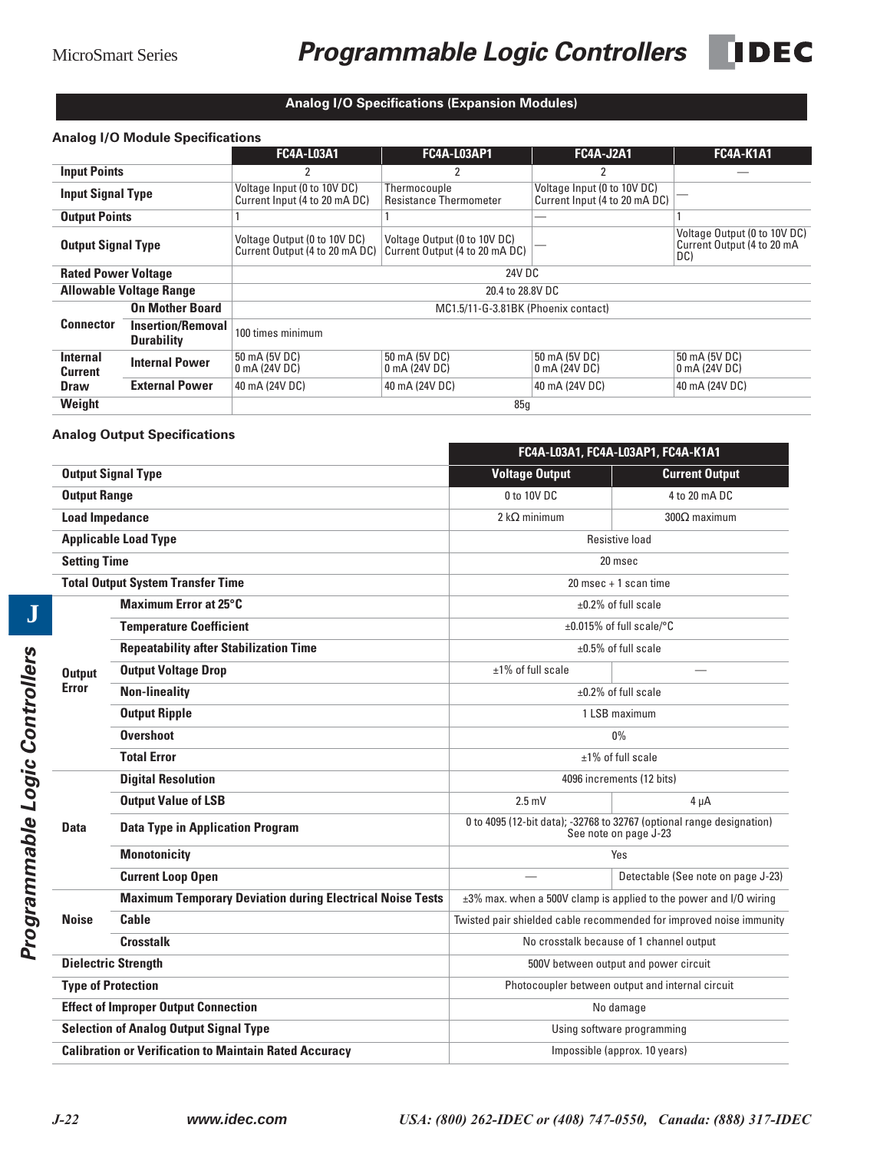## MicroSmart Series **Programmable Logic Controllers** DEC



### **Analog I/O Specifications (Expansion Modules)**

#### **Analog I/O Module Specifications**

|                                   |                                               | <b>FC4A-L03A1</b>                                              | <b>FC4A-L03AP1</b>                                             | <b>FC4A-J2A1</b>                                             | <b>FC4A-K1A1</b>                                                  |  |
|-----------------------------------|-----------------------------------------------|----------------------------------------------------------------|----------------------------------------------------------------|--------------------------------------------------------------|-------------------------------------------------------------------|--|
| <b>Input Points</b>               |                                               |                                                                |                                                                | 2                                                            |                                                                   |  |
| <b>Input Signal Type</b>          |                                               | Voltage Input (0 to 10V DC)<br>Current Input (4 to 20 mA DC)   | Thermocouple<br><b>Resistance Thermometer</b>                  | Voltage Input (0 to 10V DC)<br>Current Input (4 to 20 mA DC) |                                                                   |  |
| <b>Output Points</b>              |                                               |                                                                |                                                                |                                                              |                                                                   |  |
| <b>Output Signal Type</b>         |                                               | Voltage Output (0 to 10V DC)<br>Current Output (4 to 20 mA DC) | Voltage Output (0 to 10V DC)<br>Current Output (4 to 20 mA DC) |                                                              | Voltage Output (0 to 10V DC)<br>Current Output (4 to 20 mA<br>DC) |  |
| <b>Rated Power Voltage</b>        |                                               | 24V DC                                                         |                                                                |                                                              |                                                                   |  |
|                                   | <b>Allowable Voltage Range</b>                | 20.4 to 28.8V DC                                               |                                                                |                                                              |                                                                   |  |
|                                   | <b>On Mother Board</b>                        | MC1.5/11-G-3.81BK (Phoenix contact)                            |                                                                |                                                              |                                                                   |  |
| <b>Connector</b>                  | <b>Insertion/Removal</b><br><b>Durability</b> | 100 times minimum                                              |                                                                |                                                              |                                                                   |  |
| <b>Internal</b><br><b>Current</b> | <b>Internal Power</b>                         | 50 mA (5V DC)<br>0 mA (24V DC)                                 | 50 mA (5V DC)<br>0 mA (24V DC)                                 | 50 mA (5V DC)<br>$0$ mA (24V DC)                             | 50 mA (5V DC)<br>0 mA (24V DC)                                    |  |
| <b>Draw</b>                       | <b>External Power</b>                         | 40 mA (24V DC)                                                 | 40 mA (24V DC)                                                 | 40 mA (24V DC)                                               | 40 mA (24V DC)                                                    |  |
| Weight                            |                                               | 85g                                                            |                                                                |                                                              |                                                                   |  |

#### **Analog Output Specifications**

|                       |                                                                  |                                                  | FC4A-L03A1, FC4A-L03AP1, FC4A-K1A1                                                             |  |
|-----------------------|------------------------------------------------------------------|--------------------------------------------------|------------------------------------------------------------------------------------------------|--|
|                       | <b>Output Signal Type</b>                                        | <b>Voltage Output</b>                            | <b>Current Output</b>                                                                          |  |
| <b>Output Range</b>   |                                                                  | 0 to 10V DC                                      | 4 to 20 mA DC                                                                                  |  |
| <b>Load Impedance</b> |                                                                  | 2 k $\Omega$ minimum                             | $300\Omega$ maximum                                                                            |  |
|                       | <b>Applicable Load Type</b>                                      |                                                  | Resistive load                                                                                 |  |
| <b>Setting Time</b>   |                                                                  |                                                  | 20 msec                                                                                        |  |
|                       | <b>Total Output System Transfer Time</b>                         |                                                  | $20$ msec $+1$ scan time                                                                       |  |
|                       | <b>Maximum Error at 25°C</b>                                     |                                                  | $\pm 0.2\%$ of full scale                                                                      |  |
|                       | <b>Temperature Coefficient</b>                                   |                                                  | ±0.015% of full scale/°C                                                                       |  |
|                       | <b>Repeatability after Stabilization Time</b>                    |                                                  | $\pm 0.5\%$ of full scale                                                                      |  |
| <b>Output</b>         | <b>Output Voltage Drop</b>                                       | $±1\%$ of full scale                             |                                                                                                |  |
| <b>Error</b>          | <b>Non-lineality</b>                                             | $\pm 0.2\%$ of full scale                        |                                                                                                |  |
|                       | <b>Output Ripple</b>                                             | 1 LSB maximum                                    |                                                                                                |  |
|                       | <b>Overshoot</b>                                                 | 0%                                               |                                                                                                |  |
|                       | <b>Total Error</b>                                               | $±1\%$ of full scale                             |                                                                                                |  |
|                       | <b>Digital Resolution</b>                                        | 4096 increments (12 bits)                        |                                                                                                |  |
|                       | <b>Output Value of LSB</b>                                       | $2.5 \text{ mV}$                                 | 4 uA                                                                                           |  |
| Data                  | <b>Data Type in Application Program</b>                          |                                                  | 0 to 4095 (12-bit data); -32768 to 32767 (optional range designation)<br>See note on page J-23 |  |
|                       | <b>Monotonicity</b>                                              | Yes                                              |                                                                                                |  |
|                       | <b>Current Loop Open</b>                                         |                                                  | Detectable (See note on page J-23)                                                             |  |
|                       | <b>Maximum Temporary Deviation during Electrical Noise Tests</b> |                                                  | ±3% max. when a 500V clamp is applied to the power and I/O wiring                              |  |
| <b>Noise</b>          | Cable                                                            |                                                  | Twisted pair shielded cable recommended for improved noise immunity                            |  |
|                       | <b>Crosstalk</b>                                                 |                                                  | No crosstalk because of 1 channel output                                                       |  |
|                       | <b>Dielectric Strength</b>                                       | 500V between output and power circuit            |                                                                                                |  |
|                       | <b>Type of Protection</b>                                        | Photocoupler between output and internal circuit |                                                                                                |  |
|                       | <b>Effect of Improper Output Connection</b>                      | No damage                                        |                                                                                                |  |
|                       | <b>Selection of Analog Output Signal Type</b>                    | Using software programming                       |                                                                                                |  |
|                       | <b>Calibration or Verification to Maintain Rated Accuracy</b>    | Impossible (approx. 10 years)                    |                                                                                                |  |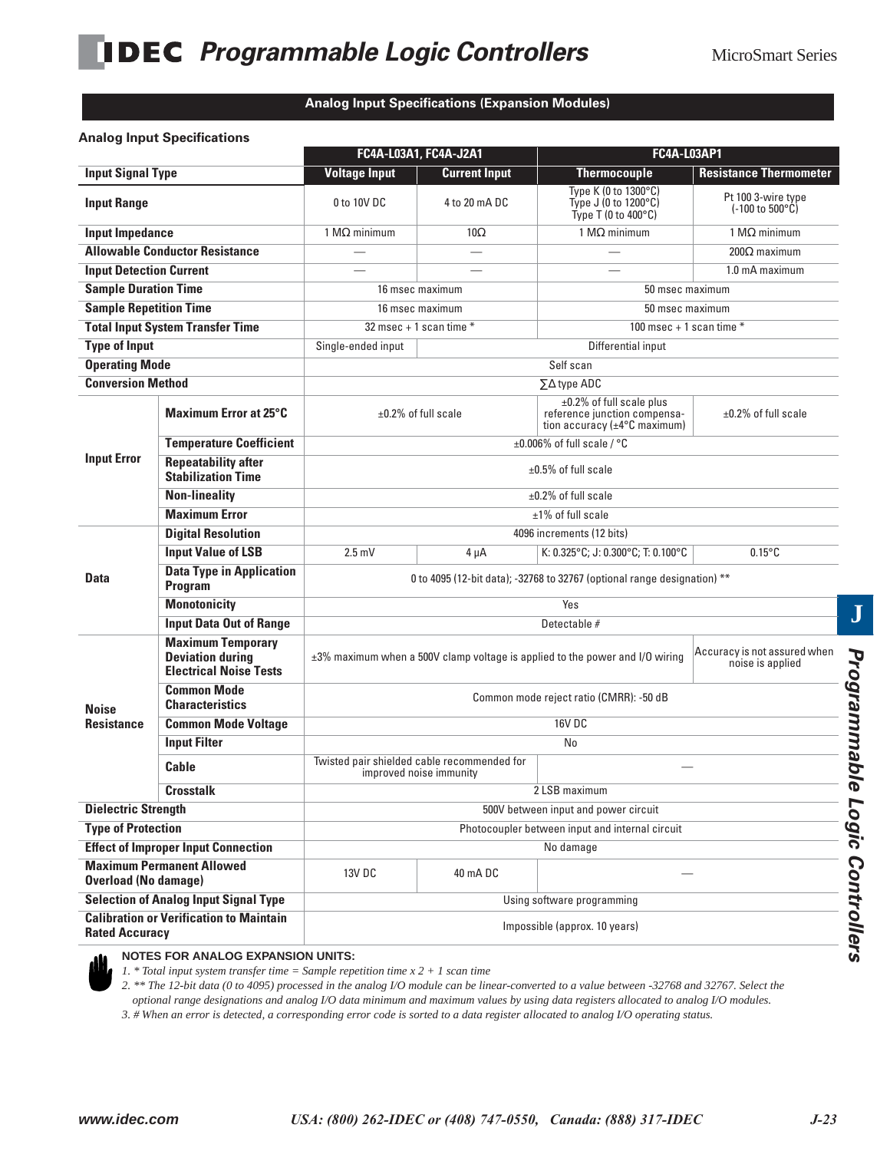#### **Analog Input Specifications (Expansion Modules)**

#### **Analog Input Specifications**

|                                                                         |                                                                                      | FC4A-L03A1, FC4A-J2A1                                                    |                          | <b>FC4A-L03AP1</b>                                                                                           |                                                                |  |
|-------------------------------------------------------------------------|--------------------------------------------------------------------------------------|--------------------------------------------------------------------------|--------------------------|--------------------------------------------------------------------------------------------------------------|----------------------------------------------------------------|--|
| <b>Input Signal Type</b>                                                |                                                                                      | <b>Voltage Input</b>                                                     | <b>Current Input</b>     | <b>Thermocouple</b>                                                                                          | <b>Resistance Thermometer</b>                                  |  |
| <b>Input Range</b>                                                      |                                                                                      | 0 to 10V DC                                                              | 4 to 20 mA DC            | Type K (0 to 1300°C)<br>Type J (0 to 1200°C)<br>Type T $(0 \text{ to } 400^{\circ} \text{C})$                | Pt 100 3-wire type<br>$(-100 \text{ to } 500^{\circ}\text{C})$ |  |
| <b>Input Impedance</b>                                                  |                                                                                      | 1 $M\Omega$ minimum                                                      | $10\Omega$               | 1 M $\Omega$ minimum                                                                                         | 1 $M\Omega$ minimum                                            |  |
|                                                                         | <b>Allowable Conductor Resistance</b>                                                |                                                                          | $\overline{\phantom{0}}$ |                                                                                                              | $200\Omega$ maximum                                            |  |
| <b>Input Detection Current</b>                                          |                                                                                      |                                                                          |                          |                                                                                                              | 1.0 mA maximum                                                 |  |
| <b>Sample Duration Time</b>                                             |                                                                                      | 16 msec maximum                                                          |                          | 50 msec maximum                                                                                              |                                                                |  |
| <b>Sample Repetition Time</b>                                           |                                                                                      | 16 msec maximum                                                          |                          | 50 msec maximum                                                                                              |                                                                |  |
|                                                                         | <b>Total Input System Transfer Time</b>                                              | $32$ msec + 1 scan time *                                                |                          | 100 msec + 1 scan time $*$                                                                                   |                                                                |  |
| <b>Type of Input</b>                                                    |                                                                                      | Single-ended input                                                       |                          | Differential input                                                                                           |                                                                |  |
| <b>Operating Mode</b>                                                   |                                                                                      |                                                                          |                          | Self scan                                                                                                    |                                                                |  |
| <b>Conversion Method</b>                                                |                                                                                      |                                                                          |                          | $\Sigma\Delta$ type ADC                                                                                      |                                                                |  |
|                                                                         | <b>Maximum Error at 25°C</b>                                                         | $\pm 0.2\%$ of full scale                                                |                          | $\pm 0.2\%$ of full scale plus<br>reference junction compensa-<br>tion accuracy ( $\pm 4^{\circ}$ C maximum) | $\pm 0.2\%$ of full scale                                      |  |
|                                                                         | <b>Temperature Coefficient</b>                                                       |                                                                          |                          | $\pm 0.006\%$ of full scale / °C                                                                             |                                                                |  |
| <b>Input Error</b>                                                      | <b>Repeatability after</b><br><b>Stabilization Time</b>                              | $\pm 0.5\%$ of full scale                                                |                          |                                                                                                              |                                                                |  |
|                                                                         | <b>Non-lineality</b>                                                                 | $\pm 0.2\%$ of full scale                                                |                          |                                                                                                              |                                                                |  |
|                                                                         | <b>Maximum Error</b>                                                                 |                                                                          |                          | $±1\%$ of full scale                                                                                         |                                                                |  |
|                                                                         | <b>Digital Resolution</b>                                                            | 4096 increments (12 bits)                                                |                          |                                                                                                              |                                                                |  |
|                                                                         | <b>Input Value of LSB</b>                                                            | $2.5 \text{ mV}$                                                         | $4 \mu A$                | K: 0.325°C; J: 0.300°C; T: 0.100°C                                                                           | $0.15^{\circ}$ C                                               |  |
| Data                                                                    | <b>Data Type in Application</b><br>Program                                           | 0 to 4095 (12-bit data); -32768 to 32767 (optional range designation) ** |                          |                                                                                                              |                                                                |  |
|                                                                         | <b>Monotonicity</b>                                                                  | Yes                                                                      |                          |                                                                                                              |                                                                |  |
|                                                                         | <b>Input Data Out of Range</b>                                                       |                                                                          |                          | Detectable #                                                                                                 |                                                                |  |
|                                                                         | <b>Maximum Temporary</b><br><b>Deviation during</b><br><b>Electrical Noise Tests</b> |                                                                          |                          | $\pm 3\%$ maximum when a 500V clamp voltage is applied to the power and I/O wiring                           | Accuracy is not assured when<br>noise is applied               |  |
| <b>Noise</b>                                                            | <b>Common Mode</b><br><b>Characteristics</b>                                         |                                                                          |                          | Common mode reject ratio (CMRR): -50 dB                                                                      |                                                                |  |
| <b>Resistance</b>                                                       | <b>Common Mode Voltage</b>                                                           | <b>16V DC</b>                                                            |                          |                                                                                                              |                                                                |  |
|                                                                         | <b>Input Filter</b>                                                                  |                                                                          |                          | No                                                                                                           |                                                                |  |
|                                                                         | Cable                                                                                | Twisted pair shielded cable recommended for                              | improved noise immunity  |                                                                                                              |                                                                |  |
|                                                                         | <b>Crosstalk</b>                                                                     |                                                                          |                          | 2 LSB maximum                                                                                                |                                                                |  |
| <b>Dielectric Strength</b>                                              |                                                                                      | 500V between input and power circuit                                     |                          |                                                                                                              |                                                                |  |
| <b>Type of Protection</b>                                               |                                                                                      |                                                                          |                          | Photocoupler between input and internal circuit                                                              |                                                                |  |
| <b>Effect of Improper Input Connection</b>                              |                                                                                      |                                                                          |                          | No damage                                                                                                    |                                                                |  |
| <b>Maximum Permanent Allowed</b><br><b>Overload (No damage)</b>         |                                                                                      | 13V DC<br>40 mADC                                                        |                          |                                                                                                              |                                                                |  |
|                                                                         | <b>Selection of Analog Input Signal Type</b>                                         | Using software programming                                               |                          |                                                                                                              |                                                                |  |
| <b>Calibration or Verification to Maintain</b><br><b>Rated Accuracy</b> |                                                                                      | Impossible (approx. 10 years)                                            |                          |                                                                                                              |                                                                |  |



#### **NOTES FOR ANALOG EXPANSION UNITS:**

*1. \* Total input system transfer time = Sample repetition time x 2 + 1 scan time*

*2. \*\* The 12-bit data (0 to 4095) processed in the analog I/O module can be linear-converted to a value between -32768 and 32767. Select the optional range designations and analog I/O data minimum and maximum values by using data registers allocated to analog I/O modules.*

*3. # When an error is detected, a corresponding error code is sorted to a data register allocated to analog I/O operating status.*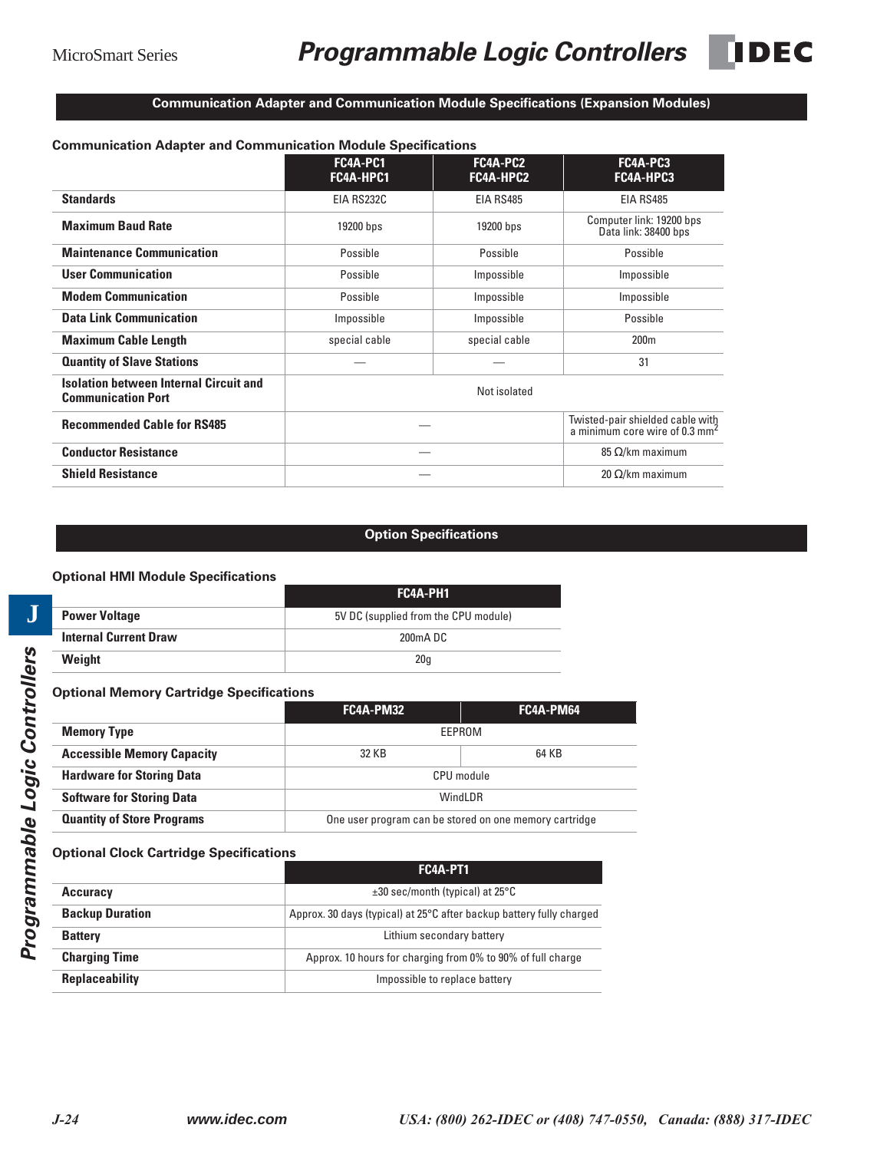### **Communication Adapter and Communication Module Specifications (Expansion Modules)**

| <b>Communication Adapter and Communication Module Specifications</b>       |                       |                       |                                                                              |
|----------------------------------------------------------------------------|-----------------------|-----------------------|------------------------------------------------------------------------------|
|                                                                            | FC4A-PC1<br>FC4A-HPC1 | FC4A-PC2<br>FC4A-HPC2 | FC4A-PC3<br>FC4A-HPC3                                                        |
| <b>Standards</b>                                                           | EIA RS232C            | EIA RS485             | EIA RS485                                                                    |
| <b>Maximum Baud Rate</b>                                                   | 19200 bps             | 19200 bps             | Computer link: 19200 bps<br>Data link: 38400 bps                             |
| <b>Maintenance Communication</b>                                           | Possible              | Possible              | Possible                                                                     |
| <b>User Communication</b>                                                  | Possible              | Impossible            | Impossible                                                                   |
| <b>Modem Communication</b>                                                 | Possible              | Impossible            | Impossible                                                                   |
| <b>Data Link Communication</b>                                             | Impossible            | Impossible            | Possible                                                                     |
| <b>Maximum Cable Length</b>                                                | special cable         | special cable         | 200 <sub>m</sub>                                                             |
| <b>Quantity of Slave Stations</b>                                          |                       |                       | 31                                                                           |
| <b>Isolation between Internal Circuit and</b><br><b>Communication Port</b> |                       | Not isolated          |                                                                              |
| <b>Recommended Cable for RS485</b>                                         |                       |                       | Twisted-pair shielded cable with<br>a minimum core wire of 0.3 $\text{mm}^2$ |
| <b>Conductor Resistance</b>                                                |                       |                       | 85 $\Omega$ /km maximum                                                      |
| <b>Shield Resistance</b>                                                   |                       |                       | 20 Ω/km maximum                                                              |

#### **Option Specifications**

#### **Optional HMI Module Specifications**

|                              | FC4A-PH1                             |
|------------------------------|--------------------------------------|
| <b>Power Voltage</b>         | 5V DC (supplied from the CPU module) |
| <b>Internal Current Draw</b> | 200mA DC                             |
| Weight                       | 20q                                  |

#### **Optional Memory Cartridge Specifications**

|                                   | FC4A-PM32                                              | FC4A-PM64 |  |
|-----------------------------------|--------------------------------------------------------|-----------|--|
| <b>Memory Type</b>                | FFPROM                                                 |           |  |
| <b>Accessible Memory Capacity</b> | 32 KB                                                  | 64 KB     |  |
| <b>Hardware for Storing Data</b>  | CPU module                                             |           |  |
| <b>Software for Storing Data</b>  | Windl DR                                               |           |  |
| <b>Quantity of Store Programs</b> | One user program can be stored on one memory cartridge |           |  |

#### **Optional Clock Cartridge Specifications**

|                        | FC4A-PT1                                                             |
|------------------------|----------------------------------------------------------------------|
| <b>Accuracy</b>        | $\pm 30$ sec/month (typical) at 25 $\degree$ C                       |
| <b>Backup Duration</b> | Approx. 30 days (typical) at 25°C after backup battery fully charged |
| <b>Battery</b>         | Lithium secondary battery                                            |
| <b>Charging Time</b>   | Approx. 10 hours for charging from 0% to 90% of full charge          |
| <b>Replaceability</b>  | Impossible to replace battery                                        |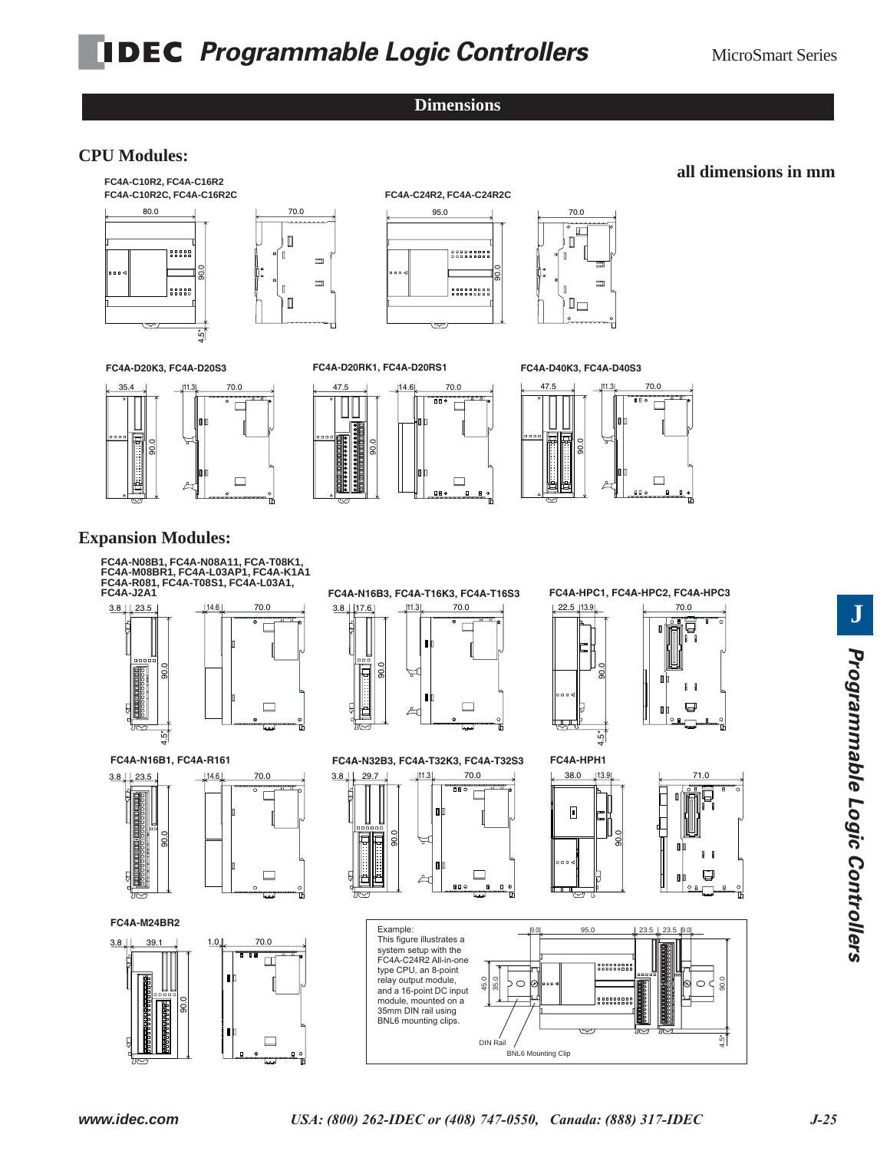**Dimensions**

## **CPU Modules:**



### **all dimensions in mm**



35.4





**FC4A-D40K3, FC4A-D40S3**



## **Expansion Modules:**

**FC4A-N08B1, FC4A-T08K1, FC4A-M08BR1, FC4A-N08B1, FC4A-N08A11, FCA-T08K1, FC4A-M08BR1, FC4A-L03AP1, FC4A-K1A1** FC4A-R081, FC4A-T08S1, FC4A-L03A1,<br>FC4A-J2A1 **FC4A-T08S1, FC4A-L03A1, FC4A-J2A1**



**FC4A-N16B1, FC4A-R161**



**FC4A-M24BR2**





 $3.8 \downarrow$  29.7  $\downarrow$   $11.3 \downarrow$  70.0 **FC4A-N32B3, FC4A-T32K3, FC4A-T32S3**



22.5 13.9 70.0 4.5\* 90.0 5 ֧֞׆֦֬֓֬֬֬֬<sup>֚</sup>

**FC4A-HPC1, FC4A-HPC2, FC4A-HPC3**



23.5 | 23.5 | 9.0 Example: 95.0 95.0 This figure illustrates a 9.0 23.5 23.5 9.0 Fried ingered indetended a<br>system setup with the<br>FC4A-C24R2 All-in-one 88888888 system setup with the FC4A-C24R2 All-in-one type CPU, an 8-point relay output module, 45.0 35.0 90.0 relay output module,<br>and a 16-point DC input  $\circ$  $\circ$  $\overline{\phantom{a}}$  $\mathbf{1}$ ና ....... module, mounted on a 35mm DIN rail using BNL6 mounting clips. 4.5\* DIN Rail DIN Rail **BNL6 Mounting Clip** 

38.0

 $\begin{tabular}{|c|c|} \hline \rule{0.3cm}{.01cm} \rule{0.3cm}{.01cm} \rule{0.3cm}{.01cm} \rule{0.3cm}{.01cm} \rule{0.3cm}{.01cm} \rule{0.3cm}{.01cm} \rule{0.3cm}{.01cm} \rule{0.3cm}{.01cm} \rule{0.3cm}{.01cm} \rule{0.3cm}{.01cm} \rule{0.3cm}{.01cm} \rule{0.3cm}{.01cm} \rule{0.3cm}{.01cm} \rule{0.3cm}{.01cm} \rule{0.3cm}{.01cm} \rule{0.3cm}{.0$ 

أسما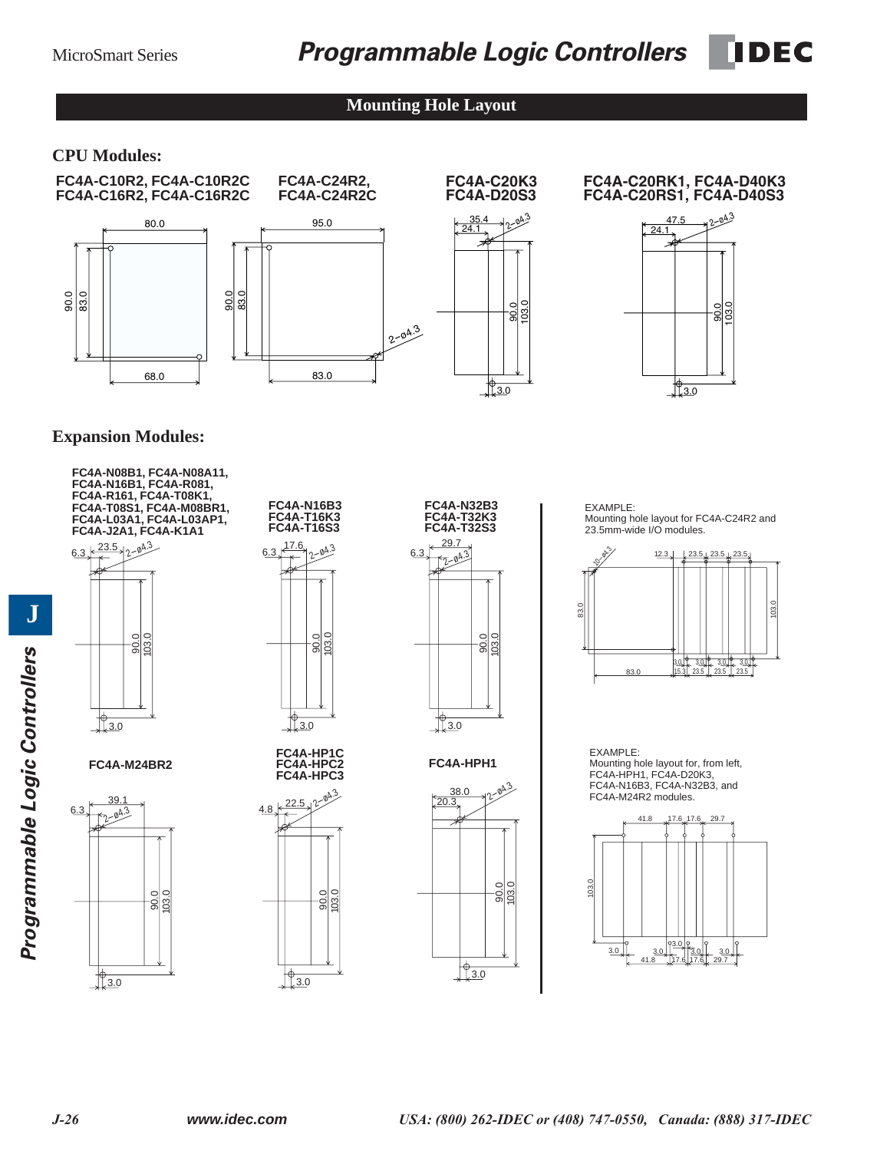## **Mounting Hole Layout**

## **CPU Modules:**





### **FC4A-C20K3 FC4A-D20S3**

35.4  $\frac{1}{24.1}$ 

> 103.0 90.0

<sup>2</sup>-ø4.3

 $12.0$ 

#### **FC4A-C20RK1, FC4A-D40K3 FC4A-C20RS1, FC4A-D40S3**



## **Expansion Modules:**



90.0 103.0  $6.3 + 1.8 + 2.04.3$ 3.0 **FC4A-N16B3 FC4A-T16K3 FC4A-T16S3**

**FC4A-HP1C FC4A-HPC2 FC4A-HPC3**





**FC4A-HPH1**



EXAMPLE: Mounting hole layout for FC4A-C24R2 and 23.5mm-wide I/O modules.



EXAMPLE: Mounting hole layout for, from left, FC4A-HPH1, FC4A-D20K3, FC4A-N16B3, FC4A-N32B3, and FC4A-M24R2 modules.



**J**

 $\sqrt[4]{\frac{3.0}{2}}$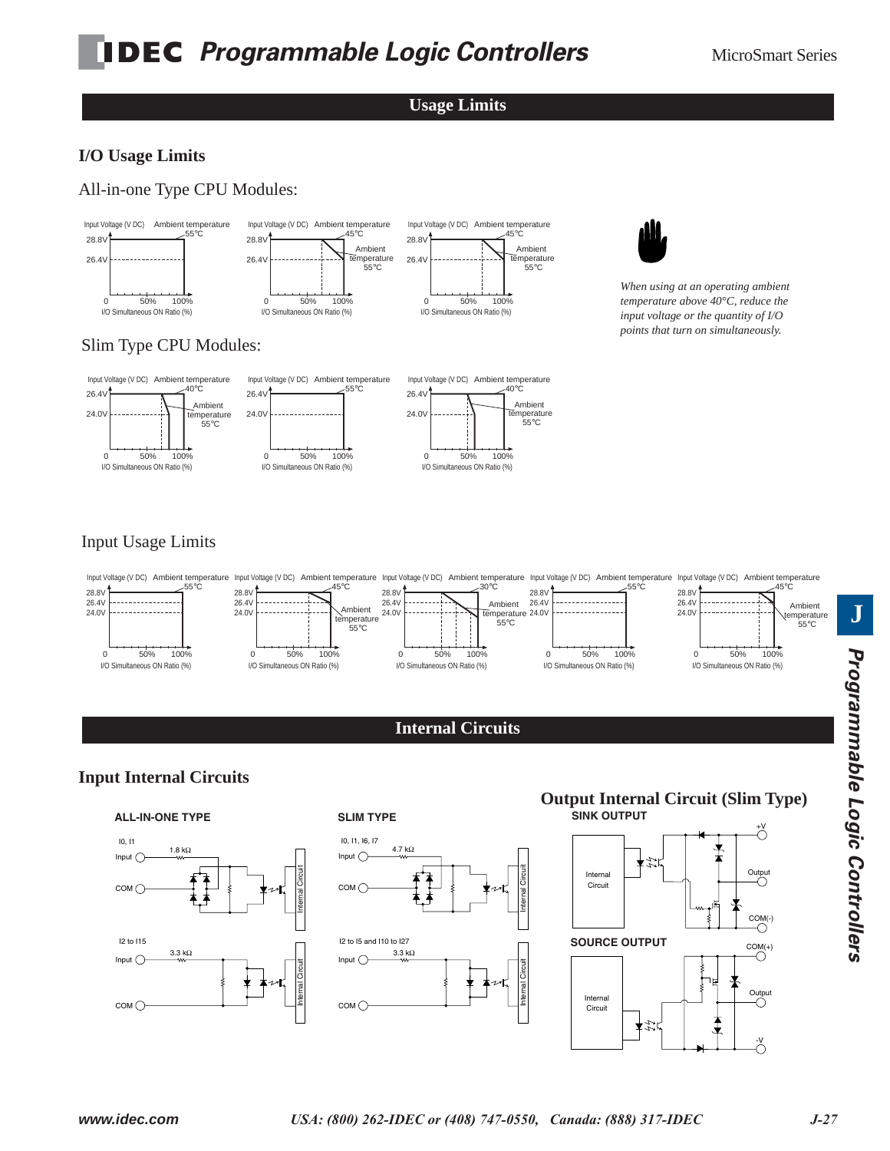## **Usage Limits**

## **I/O Usage Limits**

All-in-one Type CPU Modules:



*When using at an operating ambient temperature above 40°C, reduce the input voltage or the quantity of I/O points that turn on simultaneously.*

## Slim Type CPU Modules:



## Input Usage Limits



## **Internal Circuits**

## **Input Internal Circuits**





#### **SLIM TYPE**

COM ○



### **SINK OUTPUT Output Internal Circuit (Slim Type)**